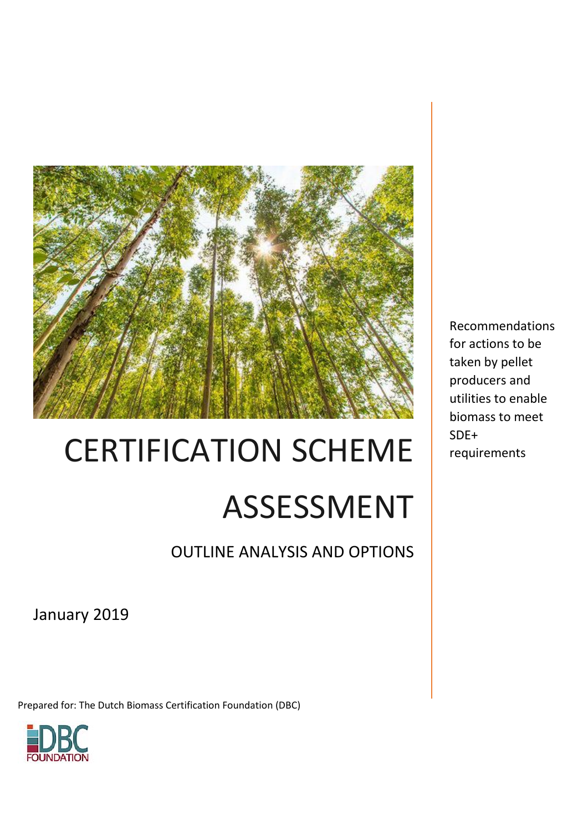

# CERTIFICATION SCHEME ASSESSMENT

OUTLINE ANALYSIS AND OPTIONS

January 2019

Prepared for: The Dutch Biomass Certification Foundation (DBC)



Recommendations for actions to be taken by pellet producers and utilities to enable biomass to meet SDE+ requirements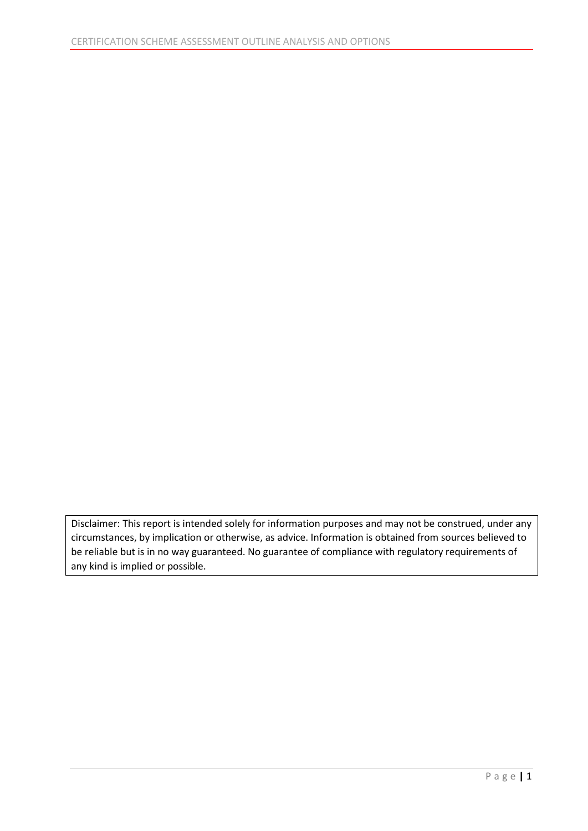Disclaimer: This report is intended solely for information purposes and may not be construed, under any circumstances, by implication or otherwise, as advice. Information is obtained from sources believed to be reliable but is in no way guaranteed. No guarantee of compliance with regulatory requirements of any kind is implied or possible.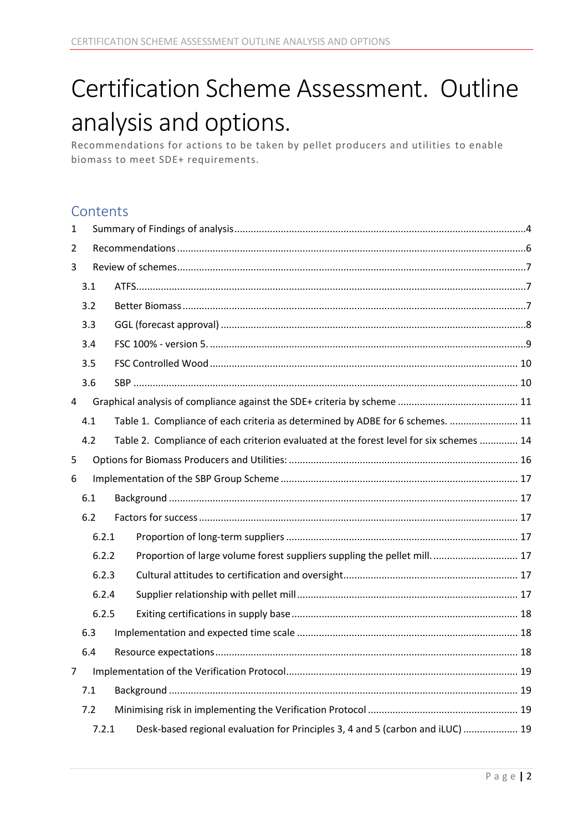# Certification Scheme Assessment. Outline analysis and options.

Recommendations for actions to be taken by pellet producers and utilities to enable biomass to meet SDE+ requirements.

## **Contents**

| 1              |       |  |                                                                                         |  |  |  |
|----------------|-------|--|-----------------------------------------------------------------------------------------|--|--|--|
| 2              |       |  |                                                                                         |  |  |  |
| 3              |       |  |                                                                                         |  |  |  |
|                | 3.1   |  |                                                                                         |  |  |  |
|                | 3.2   |  |                                                                                         |  |  |  |
|                | 3.3   |  |                                                                                         |  |  |  |
|                | 3.4   |  |                                                                                         |  |  |  |
|                | 3.5   |  |                                                                                         |  |  |  |
|                | 3.6   |  |                                                                                         |  |  |  |
| 4              |       |  |                                                                                         |  |  |  |
|                | 4.1   |  | Table 1. Compliance of each criteria as determined by ADBE for 6 schemes.  11           |  |  |  |
|                | 4.2   |  | Table 2. Compliance of each criterion evaluated at the forest level for six schemes  14 |  |  |  |
| 5              |       |  |                                                                                         |  |  |  |
| 6              |       |  |                                                                                         |  |  |  |
|                | 6.1   |  |                                                                                         |  |  |  |
|                | 6.2   |  |                                                                                         |  |  |  |
|                | 6.2.1 |  |                                                                                         |  |  |  |
|                | 6.2.2 |  | Proportion of large volume forest suppliers suppling the pellet mill 17                 |  |  |  |
|                | 6.2.3 |  |                                                                                         |  |  |  |
|                | 6.2.4 |  |                                                                                         |  |  |  |
|                | 6.2.5 |  |                                                                                         |  |  |  |
|                | 6.3   |  |                                                                                         |  |  |  |
|                | 6.4   |  |                                                                                         |  |  |  |
| $\overline{7}$ |       |  |                                                                                         |  |  |  |
|                | 7.1   |  |                                                                                         |  |  |  |
|                | 7.2   |  |                                                                                         |  |  |  |
|                | 7.2.1 |  | Desk-based regional evaluation for Principles 3, 4 and 5 (carbon and iLUC)  19          |  |  |  |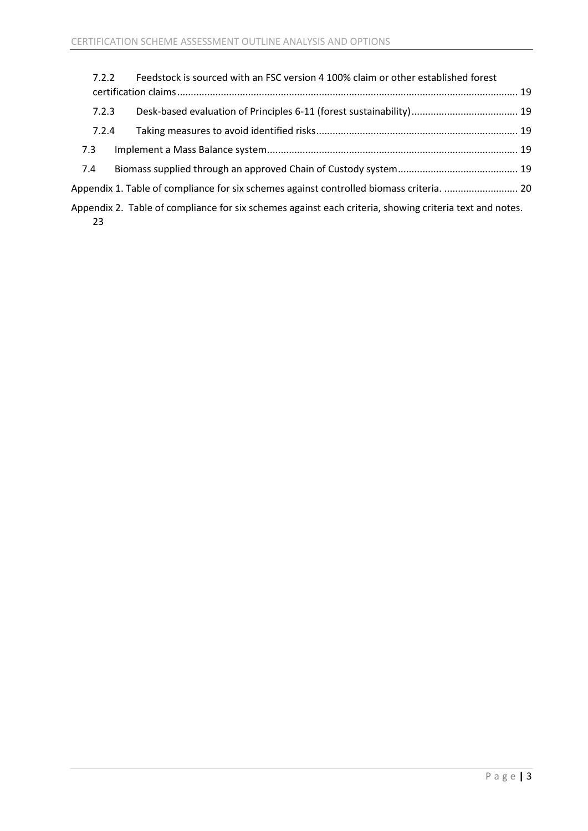| 7.2.2 | Feedstock is sourced with an FSC version 4 100% claim or other established forest                       |  |
|-------|---------------------------------------------------------------------------------------------------------|--|
| 7.2.3 |                                                                                                         |  |
| 7.2.4 |                                                                                                         |  |
| 7.3   |                                                                                                         |  |
| 7.4   |                                                                                                         |  |
|       | Appendix 1. Table of compliance for six schemes against controlled biomass criteria.  20                |  |
| 23    | Appendix 2. Table of compliance for six schemes against each criteria, showing criteria text and notes. |  |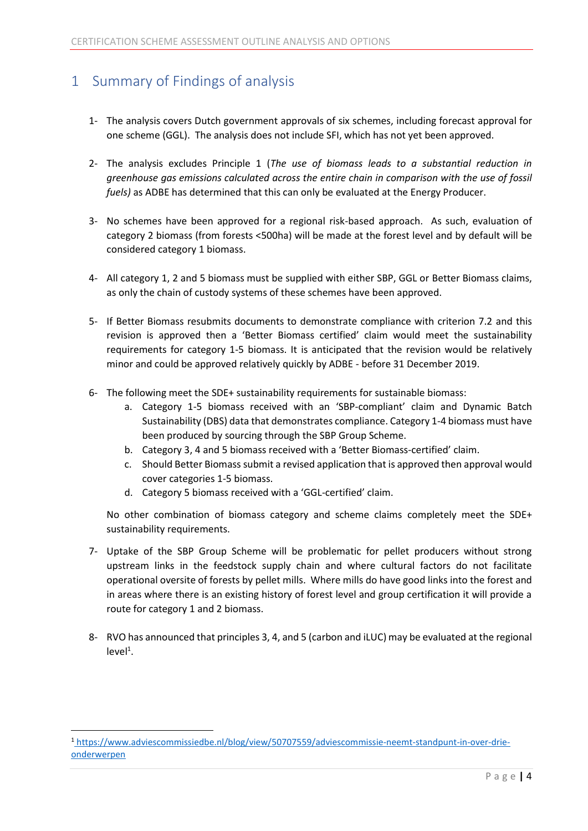# <span id="page-4-0"></span>1 Summary of Findings of analysis

- 1- The analysis covers Dutch government approvals of six schemes, including forecast approval for one scheme (GGL). The analysis does not include SFI, which has not yet been approved.
- 2- The analysis excludes Principle 1 (*The use of biomass leads to a substantial reduction in greenhouse gas emissions calculated across the entire chain in comparison with the use of fossil fuels)* as ADBE has determined that this can only be evaluated at the Energy Producer.
- 3- No schemes have been approved for a regional risk-based approach. As such, evaluation of category 2 biomass (from forests <500ha) will be made at the forest level and by default will be considered category 1 biomass.
- 4- All category 1, 2 and 5 biomass must be supplied with either SBP, GGL or Better Biomass claims, as only the chain of custody systems of these schemes have been approved.
- 5- If Better Biomass resubmits documents to demonstrate compliance with criterion 7.2 and this revision is approved then a 'Better Biomass certified' claim would meet the sustainability requirements for category 1-5 biomass. It is anticipated that the revision would be relatively minor and could be approved relatively quickly by ADBE - before 31 December 2019.
- 6- The following meet the SDE+ sustainability requirements for sustainable biomass:
	- a. Category 1-5 biomass received with an 'SBP-compliant' claim and Dynamic Batch Sustainability (DBS) data that demonstrates compliance. Category 1-4 biomass must have been produced by sourcing through the SBP Group Scheme.
	- b. Category 3, 4 and 5 biomass received with a 'Better Biomass-certified' claim.
	- c. Should Better Biomass submit a revised application that is approved then approval would cover categories 1-5 biomass.
	- d. Category 5 biomass received with a 'GGL-certified' claim.

No other combination of biomass category and scheme claims completely meet the SDE+ sustainability requirements.

- 7- Uptake of the SBP Group Scheme will be problematic for pellet producers without strong upstream links in the feedstock supply chain and where cultural factors do not facilitate operational oversite of forests by pellet mills. Where mills do have good links into the forest and in areas where there is an existing history of forest level and group certification it will provide a route for category 1 and 2 biomass.
- 8- RVO has announced that principles 3, 4, and 5 (carbon and iLUC) may be evaluated at the regional  $level<sup>1</sup>$ .

 $\overline{\phantom{a}}$ 

<sup>1</sup> https://www.adviescommissiedbe.nl/blog/view/50707559/adviescommissie-neemt-standpunt-in-over-drieonderwerpen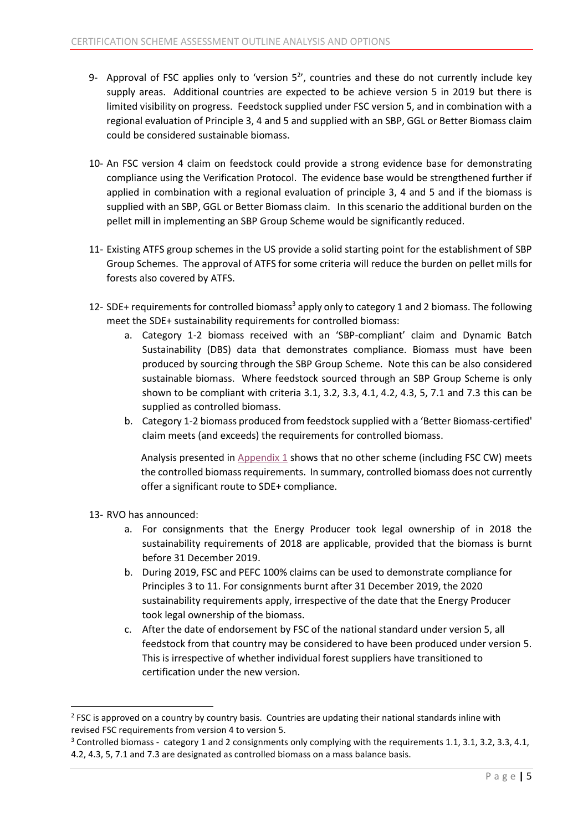- 9- Approval of FSC applies only to 'version  $5<sup>2</sup>$ , countries and these do not currently include key supply areas. Additional countries are expected to be achieve version 5 in 2019 but there is limited visibility on progress. Feedstock supplied under FSC version 5, and in combination with a regional evaluation of Principle 3, 4 and 5 and supplied with an SBP, GGL or Better Biomass claim could be considered sustainable biomass.
- 10- An FSC version 4 claim on feedstock could provide a strong evidence base for demonstrating compliance using the Verification Protocol. The evidence base would be strengthened further if applied in combination with a regional evaluation of principle 3, 4 and 5 and if the biomass is supplied with an SBP, GGL or Better Biomass claim. In this scenario the additional burden on the pellet mill in implementing an SBP Group Scheme would be significantly reduced.
- 11- Existing ATFS group schemes in the US provide a solid starting point for the establishment of SBP Group Schemes. The approval of ATFS for some criteria will reduce the burden on pellet mills for forests also covered by ATFS.
- 12- SDE+ requirements for controlled biomass<sup>3</sup> apply only to category 1 and 2 biomass. The following meet the SDE+ sustainability requirements for controlled biomass:
	- a. Category 1-2 biomass received with an 'SBP-compliant' claim and Dynamic Batch Sustainability (DBS) data that demonstrates compliance. Biomass must have been produced by sourcing through the SBP Group Scheme. Note this can be also considered sustainable biomass. Where feedstock sourced through an SBP Group Scheme is only shown to be compliant with criteria 3.1, 3.2, 3.3, 4.1, 4.2, 4.3, 5, 7.1 and 7.3 this can be supplied as controlled biomass.
	- b. Category 1-2 biomass produced from feedstock supplied with a 'Better Biomass-certified' claim meets (and exceeds) the requirements for controlled biomass.

Analysis presented in [Appendix 1](#page-20-0) shows that no other scheme (including FSC CW) meets the controlled biomass requirements. In summary, controlled biomass does not currently offer a significant route to SDE+ compliance.

13- RVO has announced:

1

- a. For consignments that the Energy Producer took legal ownership of in 2018 the sustainability requirements of 2018 are applicable, provided that the biomass is burnt before 31 December 2019.
- b. During 2019, FSC and PEFC 100% claims can be used to demonstrate compliance for Principles 3 to 11. For consignments burnt after 31 December 2019, the 2020 sustainability requirements apply, irrespective of the date that the Energy Producer took legal ownership of the biomass.
- c. After the date of endorsement by FSC of the national standard under version 5, all feedstock from that country may be considered to have been produced under version 5. This is irrespective of whether individual forest suppliers have transitioned to certification under the new version.

<sup>&</sup>lt;sup>2</sup> FSC is approved on a country by country basis. Countries are updating their national standards inline with revised FSC requirements from version 4 to version 5.

 $3$  Controlled biomass - category 1 and 2 consignments only complying with the requirements 1.1, 3.1, 3.2, 3.3, 4.1, 4.2, 4.3, 5, 7.1 and 7.3 are designated as controlled biomass on a mass balance basis.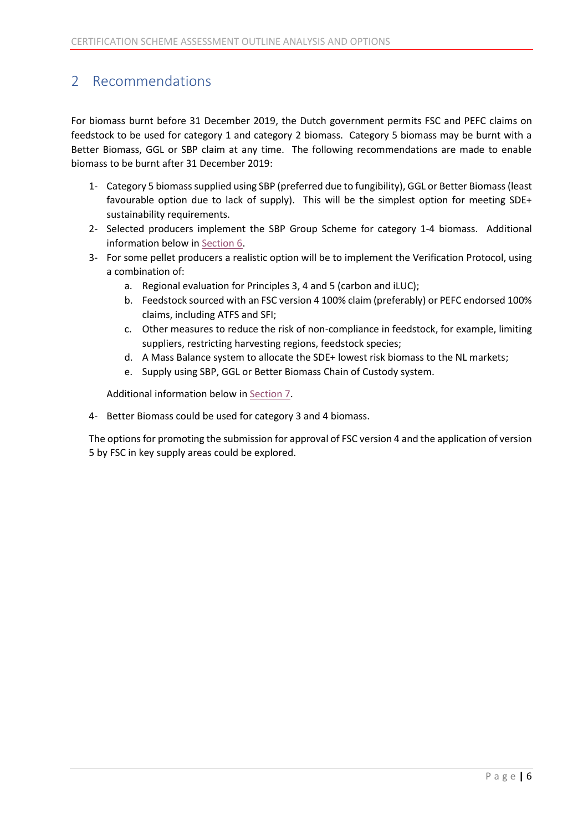# <span id="page-6-0"></span>2 Recommendations

For biomass burnt before 31 December 2019, the Dutch government permits FSC and PEFC claims on feedstock to be used for category 1 and category 2 biomass. Category 5 biomass may be burnt with a Better Biomass, GGL or SBP claim at any time. The following recommendations are made to enable biomass to be burnt after 31 December 2019:

- 1- Category 5 biomass supplied using SBP (preferred due to fungibility), GGL or Better Biomass(least favourable option due to lack of supply). This will be the simplest option for meeting SDE+ sustainability requirements.
- 2- Selected producers implement the SBP Group Scheme for category 1-4 biomass. Additional information below i[n Section 6.](#page-17-0)
- 3- For some pellet producers a realistic option will be to implement the Verification Protocol, using a combination of:
	- a. Regional evaluation for Principles 3, 4 and 5 (carbon and iLUC);
	- b. Feedstock sourced with an FSC version 4 100% claim (preferably) or PEFC endorsed 100% claims, including ATFS and SFI;
	- c. Other measures to reduce the risk of non-compliance in feedstock, for example, limiting suppliers, restricting harvesting regions, feedstock species;
	- d. A Mass Balance system to allocate the SDE+ lowest risk biomass to the NL markets;
	- e. Supply using SBP, GGL or Better Biomass Chain of Custody system.

Additional information below in [Section 7.](#page-19-0)

4- Better Biomass could be used for category 3 and 4 biomass.

The options for promoting the submission for approval of FSC version 4 and the application of version 5 by FSC in key supply areas could be explored.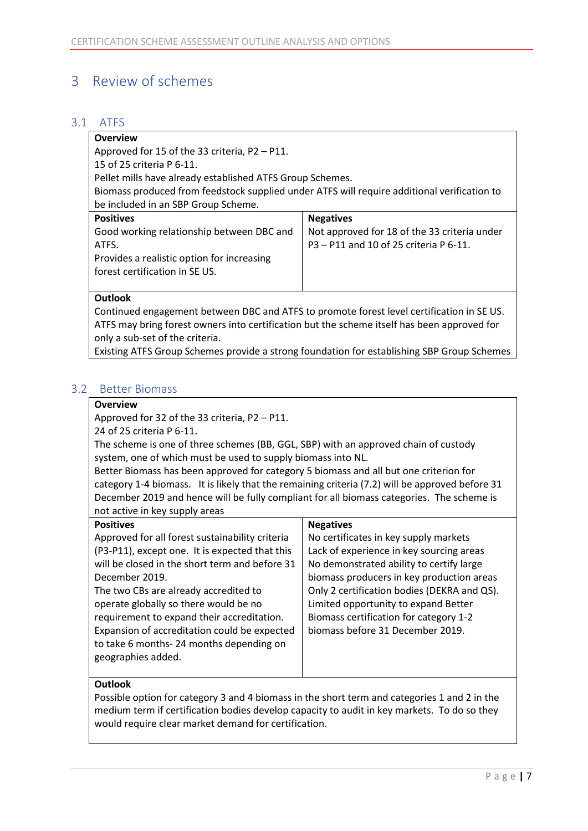## <span id="page-7-0"></span>3 Review of schemes

#### <span id="page-7-1"></span>3.1 ATFS

| <b>Overview</b>                                                                             |                                              |  |  |  |  |
|---------------------------------------------------------------------------------------------|----------------------------------------------|--|--|--|--|
| Approved for 15 of the 33 criteria, P2 - P11.                                               |                                              |  |  |  |  |
| 15 of 25 criteria P 6-11.                                                                   |                                              |  |  |  |  |
| Pellet mills have already established ATFS Group Schemes.                                   |                                              |  |  |  |  |
| Biomass produced from feedstock supplied under ATFS will require additional verification to |                                              |  |  |  |  |
| be included in an SBP Group Scheme.                                                         |                                              |  |  |  |  |
| <b>Positives</b>                                                                            | <b>Negatives</b>                             |  |  |  |  |
| Good working relationship between DBC and                                                   | Not approved for 18 of the 33 criteria under |  |  |  |  |
| ATFS.                                                                                       | P3 – P11 and 10 of 25 criteria P 6-11.       |  |  |  |  |
| Provides a realistic option for increasing                                                  |                                              |  |  |  |  |
| forest certification in SE US.                                                              |                                              |  |  |  |  |
|                                                                                             |                                              |  |  |  |  |
| Outlook                                                                                     |                                              |  |  |  |  |

Continued engagement between DBC and ATFS to promote forest level certification in SE US. ATFS may bring forest owners into certification but the scheme itself has been approved for only a sub-set of the criteria.

Existing ATFS Group Schemes provide a strong foundation for establishing SBP Group Schemes

#### <span id="page-7-2"></span>3.2 Better Biomass

#### **Overview**

Approved for 32 of the 33 criteria, P2 – P11.

24 of 25 criteria P 6-11.

The scheme is one of three schemes (BB, GGL, SBP) with an approved chain of custody system, one of which must be used to supply biomass into NL.

Better Biomass has been approved for category 5 biomass and all but one criterion for category 1-4 biomass. It is likely that the remaining criteria (7.2) will be approved before 31 December 2019 and hence will be fully compliant for all biomass categories. The scheme is not active in key supply areas

| <b>Positives</b>                                | <b>Negatives</b>                            |
|-------------------------------------------------|---------------------------------------------|
| Approved for all forest sustainability criteria | No certificates in key supply markets       |
| (P3-P11), except one. It is expected that this  | Lack of experience in key sourcing areas    |
| will be closed in the short term and before 31  | No demonstrated ability to certify large    |
| December 2019.                                  | biomass producers in key production areas   |
| The two CBs are already accredited to           | Only 2 certification bodies (DEKRA and QS). |
| operate globally so there would be no           | Limited opportunity to expand Better        |
| requirement to expand their accreditation.      | Biomass certification for category 1-2      |
| Expansion of accreditation could be expected    | biomass before 31 December 2019.            |
| to take 6 months-24 months depending on         |                                             |
| geographies added.                              |                                             |
|                                                 |                                             |

#### **Outlook**

Possible option for category 3 and 4 biomass in the short term and categories 1 and 2 in the medium term if certification bodies develop capacity to audit in key markets. To do so they would require clear market demand for certification.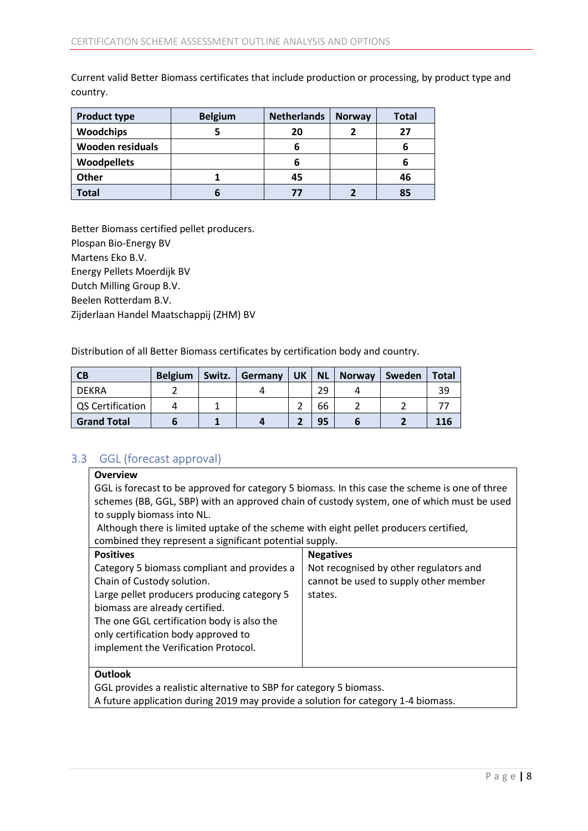Current valid Better Biomass certificates that include production or processing, by product type and country.

| <b>Product type</b>     | <b>Belgium</b> | <b>Netherlands</b> | <b>Norway</b> | <b>Total</b> |
|-------------------------|----------------|--------------------|---------------|--------------|
| <b>Woodchips</b>        |                | 20                 |               | 27           |
| <b>Wooden residuals</b> |                | ь                  |               | b            |
| <b>Woodpellets</b>      |                | ь                  |               | ь            |
| <b>Other</b>            |                | 45                 |               | 46           |
| <b>Total</b>            |                | 77                 |               | 85           |

Better Biomass certified pellet producers. Plospan Bio-Energy BV Martens Eko B.V. Energy Pellets Moerdijk BV Dutch Milling Group B.V. Beelen Rotterdam B.V. Zijderlaan Handel Maatschappij (ZHM) BV

Distribution of all Better Biomass certificates by certification body and country.

| <b>CB</b>          | <b>Belgium</b> | Switz. | Germany | UK | <b>NL</b> | <b>Norway</b> | Sweden | <b>Total</b> |
|--------------------|----------------|--------|---------|----|-----------|---------------|--------|--------------|
| DEKRA              |                |        |         |    | 29        |               |        | 39           |
| QS Certification   |                |        |         |    | 66        |               |        |              |
| <b>Grand Total</b> |                |        |         |    | 95        |               |        | 116          |

#### <span id="page-8-0"></span>3.3 GGL (forecast approval)

#### **Overview**

GGL is forecast to be approved for category 5 biomass. In this case the scheme is one of three schemes (BB, GGL, SBP) with an approved chain of custody system, one of which must be used to supply biomass into NL.

Although there is limited uptake of the scheme with eight pellet producers certified, combined they represent a significant potential supply.

| <b>Positives</b>                            | <b>Negatives</b>                       |
|---------------------------------------------|----------------------------------------|
| Category 5 biomass compliant and provides a | Not recognised by other regulators and |
| Chain of Custody solution.                  | cannot be used to supply other member  |
| Large pellet producers producing category 5 | states.                                |
| biomass are already certified.              |                                        |
| The one GGL certification body is also the  |                                        |
| only certification body approved to         |                                        |
| implement the Verification Protocol.        |                                        |
|                                             |                                        |
| 0 <sub>u</sub>                              |                                        |

#### **Outlook**

GGL provides a realistic alternative to SBP for category 5 biomass.

A future application during 2019 may provide a solution for category 1-4 biomass.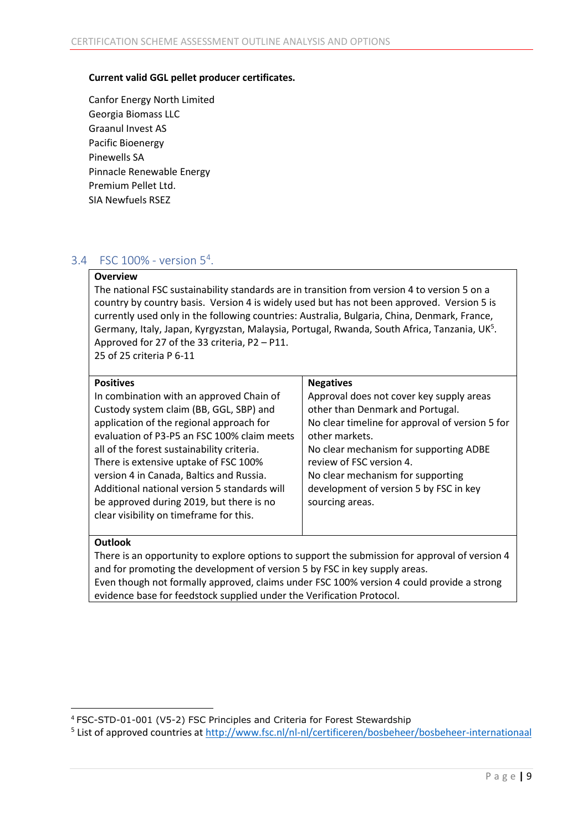#### **Current valid GGL pellet producer certificates.**

Canfor Energy North Limited Georgia Biomass LLC Graanul Invest AS Pacific Bioenergy Pinewells SA Pinnacle Renewable Energy Premium Pellet Ltd. SIA Newfuels RSEZ

#### <span id="page-9-0"></span>3.4 FSC 100% - version 5 4 .

#### **Overview**

The national FSC sustainability standards are in transition from version 4 to version 5 on a country by country basis. Version 4 is widely used but has not been approved. Version 5 is currently used only in the following countries: Australia, Bulgaria, China, Denmark, France, Germany, Italy, Japan, Kyrgyzstan, Malaysia, Portugal, Rwanda, South Africa, Tanzania, UK<sup>5</sup>. Approved for 27 of the 33 criteria, P2 – P11.

25 of 25 criteria P 6-11

#### **Positives**

| <b>Positives</b>                             | <b>Negatives</b>                                |
|----------------------------------------------|-------------------------------------------------|
| In combination with an approved Chain of     | Approval does not cover key supply areas        |
| Custody system claim (BB, GGL, SBP) and      | other than Denmark and Portugal.                |
| application of the regional approach for     | No clear timeline for approval of version 5 for |
| evaluation of P3-P5 an FSC 100% claim meets  | other markets.                                  |
| all of the forest sustainability criteria.   | No clear mechanism for supporting ADBE          |
| There is extensive uptake of FSC 100%        | review of FSC version 4.                        |
| version 4 in Canada, Baltics and Russia.     | No clear mechanism for supporting               |
| Additional national version 5 standards will | development of version 5 by FSC in key          |
| be approved during 2019, but there is no     | sourcing areas.                                 |
| clear visibility on timeframe for this.      |                                                 |
|                                              |                                                 |

#### **Outlook**

There is an opportunity to explore options to support the submission for approval of version 4 and for promoting the development of version 5 by FSC in key supply areas. Even though not formally approved, claims under FSC 100% version 4 could provide a strong evidence base for feedstock supplied under the Verification Protocol.

 $\overline{\phantom{a}}$ <sup>4</sup> FSC-STD-01-001 (V5-2) FSC Principles and Criteria for Forest Stewardship

<sup>&</sup>lt;sup>5</sup> List of approved countries at<http://www.fsc.nl/nl-nl/certificeren/bosbeheer/bosbeheer-internationaal>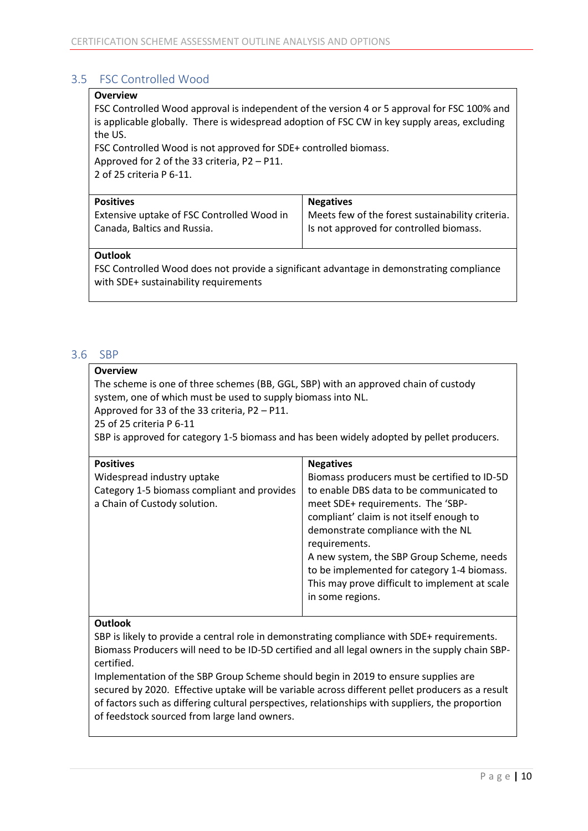#### <span id="page-10-0"></span>3.5 FSC Controlled Wood

#### **Overview**

FSC Controlled Wood approval is independent of the version 4 or 5 approval for FSC 100% and is applicable globally. There is widespread adoption of FSC CW in key supply areas, excluding the US.

FSC Controlled Wood is not approved for SDE+ controlled biomass. Approved for 2 of the 33 criteria, P2 – P11. 2 of 25 criteria P 6-11.

| <b>Positives</b>                           | <b>Negatives</b>                                 |
|--------------------------------------------|--------------------------------------------------|
| Extensive uptake of FSC Controlled Wood in | Meets few of the forest sustainability criteria. |
| Canada, Baltics and Russia.                | I Is not approved for controlled biomass.        |

#### **Outlook**

FSC Controlled Wood does not provide a significant advantage in demonstrating compliance with SDE+ sustainability requirements

#### <span id="page-10-1"></span>3.6 SBP

#### **Overview**

The scheme is one of three schemes (BB, GGL, SBP) with an approved chain of custody system, one of which must be used to supply biomass into NL. Approved for 33 of the 33 criteria, P2 – P11.

25 of 25 criteria P 6-11

SBP is approved for category 1-5 biomass and has been widely adopted by pellet producers.

| <b>Positives</b>                            | <b>Negatives</b>                               |
|---------------------------------------------|------------------------------------------------|
| Widespread industry uptake                  | Biomass producers must be certified to ID-5D   |
| Category 1-5 biomass compliant and provides | to enable DBS data to be communicated to       |
| a Chain of Custody solution.                | meet SDE+ requirements. The 'SBP-              |
|                                             | compliant' claim is not itself enough to       |
|                                             | demonstrate compliance with the NL             |
|                                             | requirements.                                  |
|                                             | A new system, the SBP Group Scheme, needs      |
|                                             | to be implemented for category 1-4 biomass.    |
|                                             | This may prove difficult to implement at scale |
|                                             | in some regions.                               |
|                                             |                                                |

#### **Outlook**

SBP is likely to provide a central role in demonstrating compliance with SDE+ requirements. Biomass Producers will need to be ID-5D certified and all legal owners in the supply chain SBPcertified.

Implementation of the SBP Group Scheme should begin in 2019 to ensure supplies are secured by 2020. Effective uptake will be variable across different pellet producers as a result of factors such as differing cultural perspectives, relationships with suppliers, the proportion of feedstock sourced from large land owners.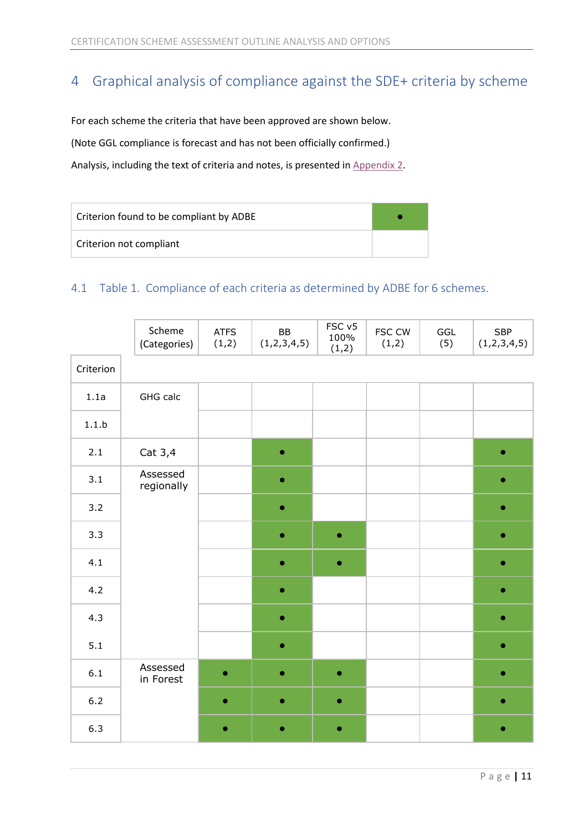# <span id="page-11-0"></span>4 Graphical analysis of compliance against the SDE+ criteria by scheme

For each scheme the criteria that have been approved are shown below.

(Note GGL compliance is forecast and has not been officially confirmed.)

Analysis, including the text of criteria and notes, is presented i[n Appendix 2.](#page-23-0)

| Criterion found to be compliant by ADBE |  |
|-----------------------------------------|--|
| Criterion not compliant                 |  |

#### <span id="page-11-1"></span>4.1 Table 1. Compliance of each criteria as determined by ADBE for 6 schemes.

|           | Scheme<br>(Categories) | <b>ATFS</b><br>(1,2) | BB<br>(1,2,3,4,5) | FSC <sub>v5</sub><br>100%<br>(1,2) | FSC CW<br>(1,2) | GGL<br>(5) | <b>SBP</b><br>(1,2,3,4,5) |
|-----------|------------------------|----------------------|-------------------|------------------------------------|-----------------|------------|---------------------------|
| Criterion |                        |                      |                   |                                    |                 |            |                           |
| 1.1a      | GHG calc               |                      |                   |                                    |                 |            |                           |
| $1.1.b$   |                        |                      |                   |                                    |                 |            |                           |
| 2.1       | Cat 3,4                |                      | $\bullet$         |                                    |                 |            | $\bullet$                 |
| 3.1       | Assessed<br>regionally |                      | $\bullet$         |                                    |                 |            |                           |
| 3.2       |                        |                      | $\bullet$         |                                    |                 |            |                           |
| 3.3       |                        |                      |                   | $\bullet$                          |                 |            |                           |
| 4.1       |                        |                      | $\bullet$         | $\bullet$                          |                 |            |                           |
| 4.2       |                        |                      | $\bullet$         |                                    |                 |            | ●                         |
| 4.3       |                        |                      | $\bullet$         |                                    |                 |            | ۰                         |
| 5.1       |                        |                      | $\bullet$         |                                    |                 |            | $\bullet$                 |
| $6.1\,$   | Assessed<br>in Forest  | $\bullet$            | $\bullet$         | $\bullet$                          |                 |            | ۰                         |
| $6.2\,$   |                        | $\bullet$            | $\bullet$         | $\bullet$                          |                 |            |                           |
| 6.3       |                        |                      | ۰                 |                                    |                 |            |                           |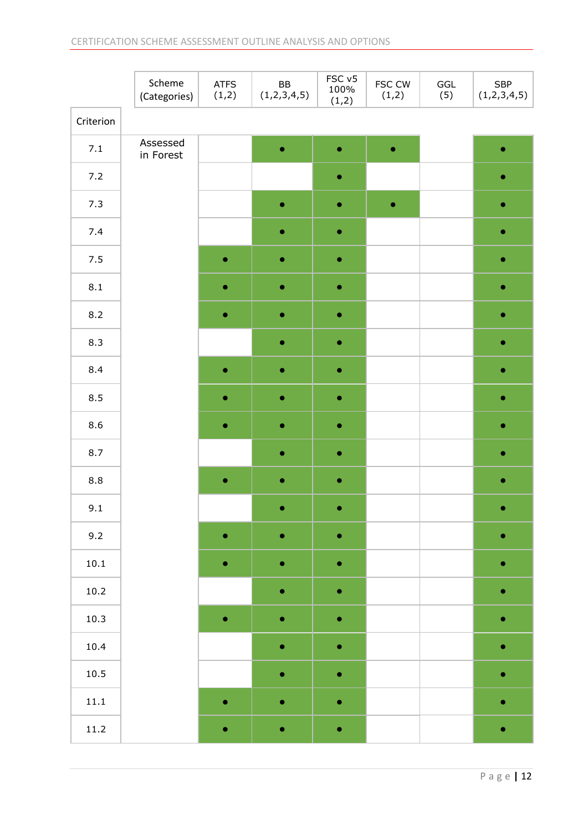|           | Scheme<br>(Categories) | <b>ATFS</b><br>(1,2) | ${\sf BB}$<br>(1,2,3,4,5) | FSC v5<br>100%<br>(1,2) | FSC CW<br>(1,2) | GGL<br>(5) | SBP<br>(1,2,3,4,5) |   |
|-----------|------------------------|----------------------|---------------------------|-------------------------|-----------------|------------|--------------------|---|
| Criterion |                        |                      |                           |                         |                 |            |                    |   |
| $7.1\,$   | Assessed<br>in Forest  |                      | $\bullet$                 | $\bullet$               | $\bullet$       |            |                    |   |
| $7.2$     |                        |                      |                           | $\bullet$               |                 |            |                    |   |
| 7.3       |                        |                      | $\bullet$                 | $\bullet$               | $\bullet$       |            | $\bullet$          |   |
| 7.4       |                        |                      | $\bullet$                 | $\bullet$               |                 |            |                    |   |
| $7.5$     |                        | ۰                    | ۰                         | $\bullet$               |                 |            | a                  |   |
| 8.1       |                        | $\bullet$            | $\bullet$                 | $\bullet$               |                 |            | $\bullet$          |   |
| 8.2       |                        | $\bullet$            | $\bullet$                 | $\bullet$               |                 |            |                    |   |
| 8.3       |                        |                      |                           | $\bullet$               | $\bullet$       |            |                    | ۰ |
| 8.4       |                        | $\bullet$            | $\bullet$                 | $\bullet$               |                 |            | $\bullet$          |   |
| 8.5       |                        | $\bullet$            | $\bullet$                 | $\bullet$               |                 |            |                    |   |
| 8.6       |                        |                      | ۰                         | $\bullet$               |                 |            |                    |   |
| $8.7\,$   |                        |                      | $\bullet$                 | $\bullet$               |                 |            | $\bullet$          |   |
| $8.8\,$   |                        | $\bullet$            | $\bullet$                 | $\bullet$               |                 |            | 0                  |   |
| 9.1       |                        |                      | 0                         | ۰                       |                 |            | ۰                  |   |
| 9.2       |                        | $\bullet$            | $\bullet$                 | $\bullet$               |                 |            | $\bullet$          |   |
| 10.1      |                        | $\bullet$            | $\bullet$                 | $\bullet$               |                 |            | ۰                  |   |
| $10.2\,$  |                        |                      | $\bullet$                 | $\bullet$               |                 |            | ۰                  |   |
| 10.3      |                        | $\bullet$            | $\bullet$                 | $\bullet$               |                 |            | $\bullet$          |   |
| 10.4      |                        |                      | $\bullet$                 | $\bullet$               |                 |            | ۰                  |   |
| 10.5      |                        |                      | $\bullet$                 | $\bullet$               |                 |            |                    |   |
| $11.1\,$  |                        | $\bullet$            | $\bullet$                 | $\bullet$               |                 |            | $\bullet$          |   |
| $11.2\,$  |                        | $\bullet$            | $\bullet$                 | $\bullet$               |                 |            | $\bullet$          |   |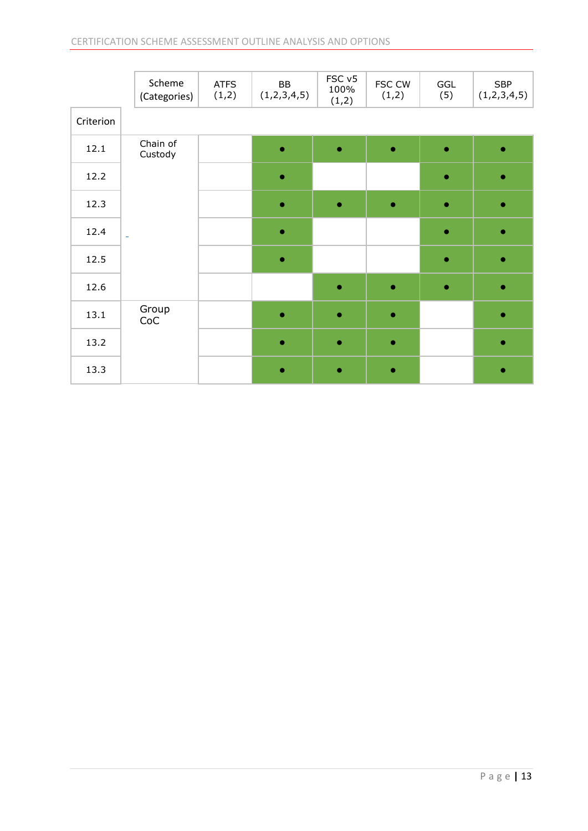|           | Scheme<br>(Categories) | <b>ATFS</b><br>(1,2) | BB<br>(1,2,3,4,5) | FSC v5<br>100%<br>(1,2) | FSC CW<br>(1,2) | GGL<br>(5) | <b>SBP</b><br>(1,2,3,4,5) |
|-----------|------------------------|----------------------|-------------------|-------------------------|-----------------|------------|---------------------------|
| Criterion |                        |                      |                   |                         |                 |            |                           |
| 12.1      | Chain of<br>Custody    |                      | $\bullet$         | $\bullet$               | $\bullet$       | $\bullet$  | $\bullet$                 |
| 12.2      |                        |                      | $\bullet$         |                         |                 | $\bullet$  | ۰                         |
| 12.3      |                        |                      |                   | ۰                       | ٠               | $\bullet$  |                           |
| 12.4      | L,                     |                      | $\bullet$         |                         |                 | $\bullet$  | $\bullet$                 |
| 12.5      |                        |                      | $\bullet$         |                         |                 | $\bullet$  |                           |
| 12.6      |                        |                      |                   | $\bullet$               | $\bullet$       | $\bullet$  | $\bullet$                 |
| 13.1      | Group<br>CoC           |                      | $\bullet$         | $\bullet$               | $\bullet$       |            | $\bullet$                 |
| 13.2      |                        |                      |                   | $\bullet$               | ۰               |            |                           |
| 13.3      |                        |                      |                   |                         | ۰               |            |                           |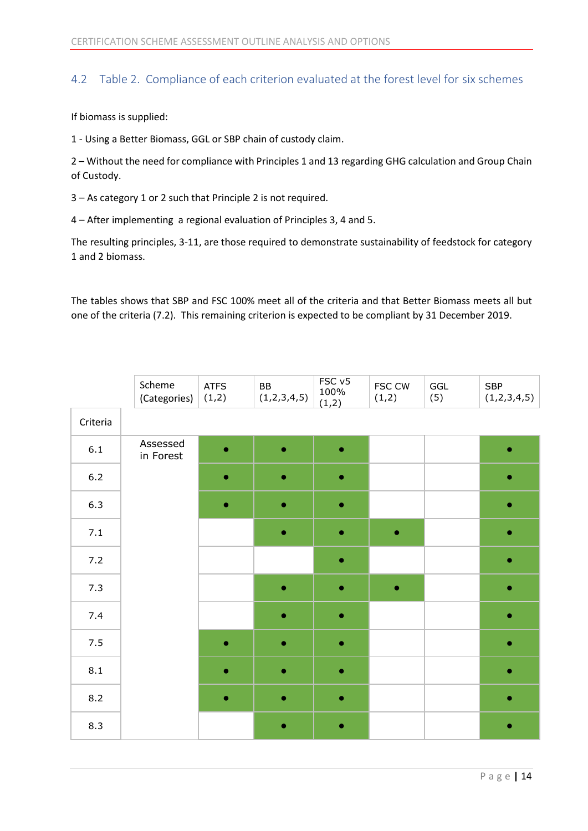#### <span id="page-14-0"></span>4.2 Table 2. Compliance of each criterion evaluated at the forest level for six schemes

If biomass is supplied:

1 - Using a Better Biomass, GGL or SBP chain of custody claim.

2 – Without the need for compliance with Principles 1 and 13 regarding GHG calculation and Group Chain of Custody.

3 – As category 1 or 2 such that Principle 2 is not required.

4 – After implementing a regional evaluation of Principles 3, 4 and 5.

The resulting principles, 3-11, are those required to demonstrate sustainability of feedstock for category 1 and 2 biomass.

The tables shows that SBP and FSC 100% meet all of the criteria and that Better Biomass meets all but one of the criteria (7.2). This remaining criterion is expected to be compliant by 31 December 2019.

|          | Scheme<br>(Categories) | <b>ATFS</b><br>(1,2) | BB<br>(1,2,3,4,5) | FSC v5<br>100%<br>(1,2) | FSC CW<br>(1,2) | GGL<br>(5) | SBP<br>(1,2,3,4,5) |
|----------|------------------------|----------------------|-------------------|-------------------------|-----------------|------------|--------------------|
| Criteria |                        |                      |                   |                         |                 |            |                    |
| $6.1\,$  | Assessed<br>in Forest  | ٠                    | ٠                 | $\bullet$               |                 |            | ٠                  |
| $6.2$    |                        | $\bullet$            | $\bullet$         | $\bullet$               |                 |            | ۰                  |
| 6.3      |                        | $\bullet$            | $\bullet$         | $\bullet$               |                 |            | ٠                  |
| $7.1\,$  |                        |                      |                   |                         | ۰               |            | $\bullet$          |
| $7.2$    |                        |                      |                   | $\bullet$               |                 |            | $\bullet$          |
| 7.3      |                        |                      | $\bullet$         | $\bullet$               | $\bullet$       |            | ۰                  |
| 7.4      |                        |                      |                   | ۰                       |                 |            | ۰                  |
| $7.5$    |                        | $\bullet$            | $\bullet$         | $\bullet$               |                 |            | ۰                  |
| 8.1      |                        | $\bullet$            | $\bullet$         | $\bullet$               |                 |            | ۰                  |
| 8.2      |                        | $\bullet$            | $\bullet$         | $\bullet$               |                 |            | $\bullet$          |
| 8.3      |                        |                      |                   |                         |                 |            |                    |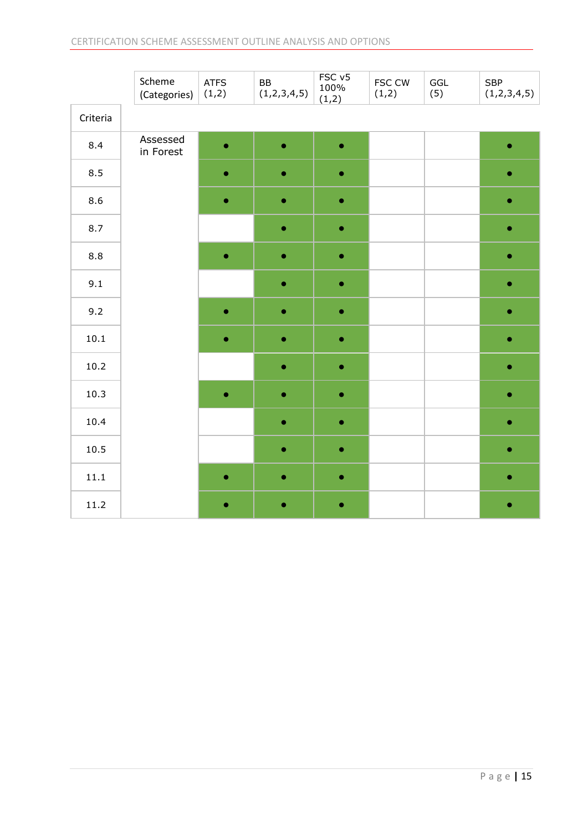|          | Scheme<br>(Categories) | <b>ATFS</b><br>(1,2) | BB<br>(1,2,3,4,5) | FSC <sub>v5</sub><br>100%<br>(1,2) | FSC CW<br>(1,2) | GGL<br>(5) | <b>SBP</b><br>(1,2,3,4,5) |
|----------|------------------------|----------------------|-------------------|------------------------------------|-----------------|------------|---------------------------|
| Criteria |                        |                      |                   |                                    |                 |            |                           |
| 8.4      | Assessed<br>in Forest  | $\bullet$            | $\bullet$         | $\bullet$                          |                 |            | $\bullet$                 |
| 8.5      |                        | $\bullet$            | $\bullet$         | $\bullet$                          |                 |            | ۰                         |
| 8.6      |                        | $\bullet$            | ۰                 | $\bullet$                          |                 |            |                           |
| 8.7      |                        |                      | $\bullet$         | $\bullet$                          |                 |            | ۰                         |
| 8.8      |                        | $\bullet$            | $\bullet$         | $\bullet$                          |                 |            | $\bullet$                 |
| 9.1      |                        |                      | $\bullet$         | $\bullet$                          |                 |            | $\bullet$                 |
| 9.2      |                        | $\bullet$            | ۰                 | $\bullet$                          |                 |            | 0                         |
| 10.1     |                        | $\bullet$            | $\bullet$         | $\bullet$                          |                 |            | $\bullet$                 |
| $10.2\,$ |                        |                      | $\bullet$         | $\bullet$                          |                 |            | ۰                         |
| 10.3     |                        | $\bullet$            | ۰                 | ۰                                  |                 |            | ۰                         |
| 10.4     |                        |                      | $\bullet$         | $\bullet$                          |                 |            | $\bullet$                 |
| 10.5     |                        |                      | $\bullet$         | $\bullet$                          |                 |            |                           |
| $11.1\,$ |                        | $\bullet$            | $\bullet$         | $\bullet$                          |                 |            | $\bullet$                 |
| 11.2     |                        | ۰                    | ۰                 | $\bullet$                          |                 |            |                           |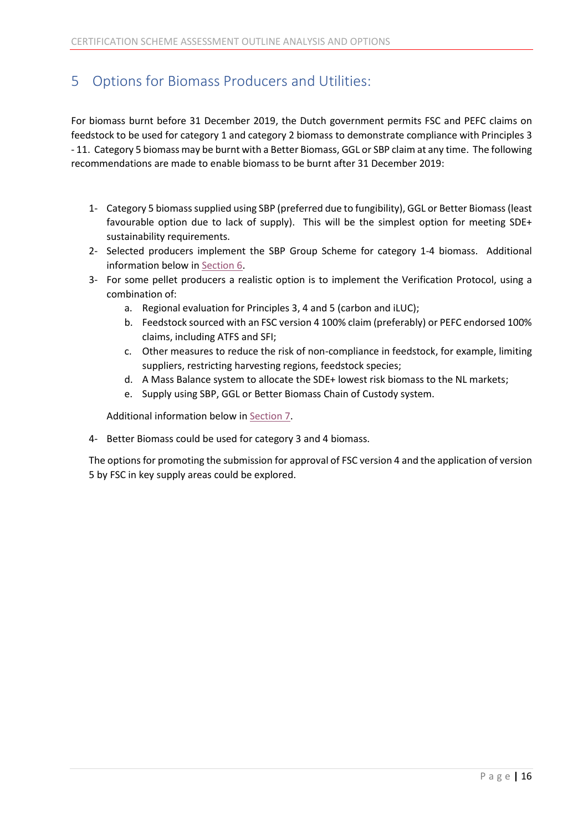# <span id="page-16-0"></span>5 Options for Biomass Producers and Utilities:

For biomass burnt before 31 December 2019, the Dutch government permits FSC and PEFC claims on feedstock to be used for category 1 and category 2 biomass to demonstrate compliance with Principles 3 - 11. Category 5 biomass may be burnt with a Better Biomass, GGL or SBP claim at any time. The following recommendations are made to enable biomass to be burnt after 31 December 2019:

- 1- Category 5 biomass supplied using SBP (preferred due to fungibility), GGL or Better Biomass(least favourable option due to lack of supply). This will be the simplest option for meeting SDE+ sustainability requirements.
- 2- Selected producers implement the SBP Group Scheme for category 1-4 biomass. Additional information below i[n Section 6.](#page-17-0)
- 3- For some pellet producers a realistic option is to implement the Verification Protocol, using a combination of:
	- a. Regional evaluation for Principles 3, 4 and 5 (carbon and iLUC);
	- b. Feedstock sourced with an FSC version 4 100% claim (preferably) or PEFC endorsed 100% claims, including ATFS and SFI;
	- c. Other measures to reduce the risk of non-compliance in feedstock, for example, limiting suppliers, restricting harvesting regions, feedstock species;
	- d. A Mass Balance system to allocate the SDE+ lowest risk biomass to the NL markets;
	- e. Supply using SBP, GGL or Better Biomass Chain of Custody system.

Additional information below in [Section 7.](#page-19-0)

4- Better Biomass could be used for category 3 and 4 biomass.

The options for promoting the submission for approval of FSC version 4 and the application of version 5 by FSC in key supply areas could be explored.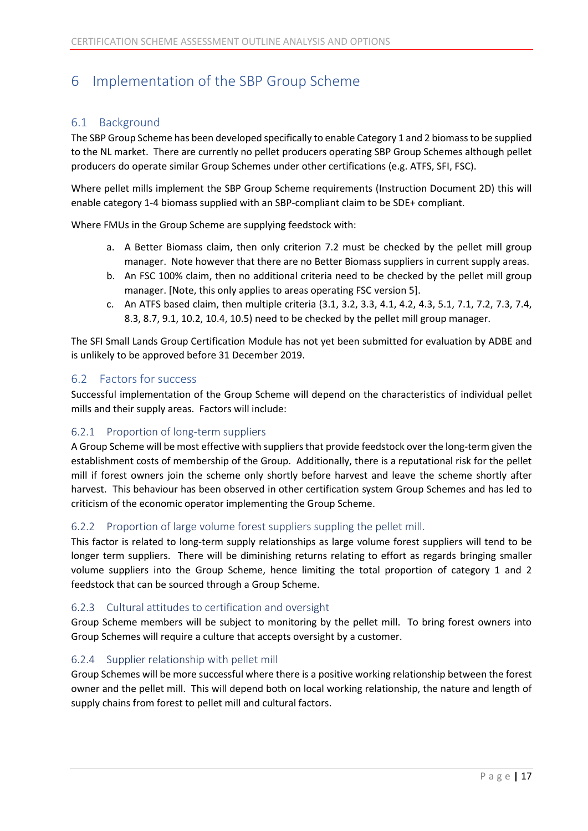# <span id="page-17-0"></span>6 Implementation of the SBP Group Scheme

#### <span id="page-17-1"></span>6.1 Background

The SBP Group Scheme has been developed specifically to enable Category 1 and 2 biomass to be supplied to the NL market. There are currently no pellet producers operating SBP Group Schemes although pellet producers do operate similar Group Schemes under other certifications (e.g. ATFS, SFI, FSC).

Where pellet mills implement the SBP Group Scheme requirements (Instruction Document 2D) this will enable category 1-4 biomass supplied with an SBP-compliant claim to be SDE+ compliant.

Where FMUs in the Group Scheme are supplying feedstock with:

- a. A Better Biomass claim, then only criterion 7.2 must be checked by the pellet mill group manager. Note however that there are no Better Biomass suppliers in current supply areas.
- b. An FSC 100% claim, then no additional criteria need to be checked by the pellet mill group manager. [Note, this only applies to areas operating FSC version 5].
- c. An ATFS based claim, then multiple criteria (3.1, 3.2, 3.3, 4.1, 4.2, 4.3, 5.1, 7.1, 7.2, 7.3, 7.4, 8.3, 8.7, 9.1, 10.2, 10.4, 10.5) need to be checked by the pellet mill group manager.

The SFI Small Lands Group Certification Module has not yet been submitted for evaluation by ADBE and is unlikely to be approved before 31 December 2019.

#### <span id="page-17-2"></span>6.2 Factors for success

Successful implementation of the Group Scheme will depend on the characteristics of individual pellet mills and their supply areas. Factors will include:

#### <span id="page-17-3"></span>6.2.1 Proportion of long-term suppliers

A Group Scheme will be most effective with suppliers that provide feedstock over the long-term given the establishment costs of membership of the Group. Additionally, there is a reputational risk for the pellet mill if forest owners join the scheme only shortly before harvest and leave the scheme shortly after harvest. This behaviour has been observed in other certification system Group Schemes and has led to criticism of the economic operator implementing the Group Scheme.

#### <span id="page-17-4"></span>6.2.2 Proportion of large volume forest suppliers suppling the pellet mill.

This factor is related to long-term supply relationships as large volume forest suppliers will tend to be longer term suppliers. There will be diminishing returns relating to effort as regards bringing smaller volume suppliers into the Group Scheme, hence limiting the total proportion of category 1 and 2 feedstock that can be sourced through a Group Scheme.

#### <span id="page-17-5"></span>6.2.3 Cultural attitudes to certification and oversight

Group Scheme members will be subject to monitoring by the pellet mill. To bring forest owners into Group Schemes will require a culture that accepts oversight by a customer.

#### <span id="page-17-6"></span>6.2.4 Supplier relationship with pellet mill

Group Schemes will be more successful where there is a positive working relationship between the forest owner and the pellet mill. This will depend both on local working relationship, the nature and length of supply chains from forest to pellet mill and cultural factors.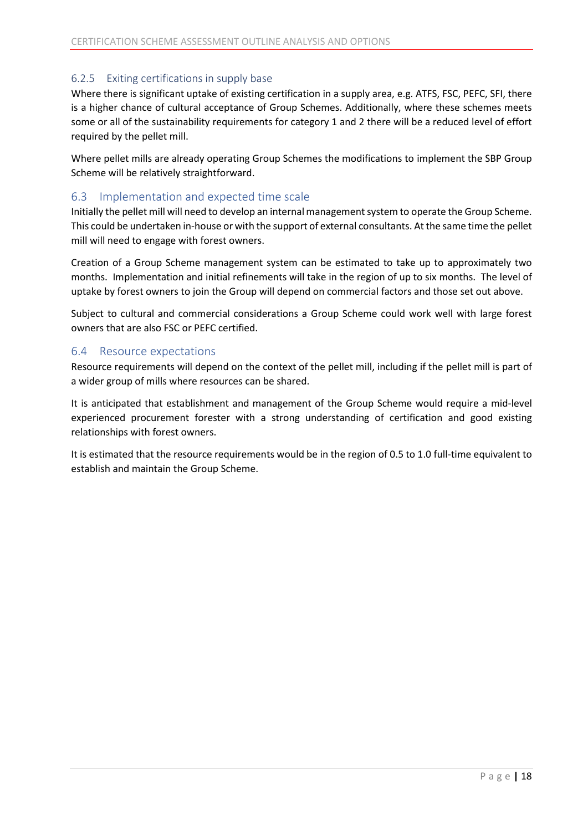#### <span id="page-18-0"></span>6.2.5 Exiting certifications in supply base

Where there is significant uptake of existing certification in a supply area, e.g. ATFS, FSC, PEFC, SFI, there is a higher chance of cultural acceptance of Group Schemes. Additionally, where these schemes meets some or all of the sustainability requirements for category 1 and 2 there will be a reduced level of effort required by the pellet mill.

Where pellet mills are already operating Group Schemes the modifications to implement the SBP Group Scheme will be relatively straightforward.

#### <span id="page-18-1"></span>6.3 Implementation and expected time scale

Initially the pellet mill will need to develop an internal management system to operate the Group Scheme. This could be undertaken in-house or with the support of external consultants. At the same time the pellet mill will need to engage with forest owners.

Creation of a Group Scheme management system can be estimated to take up to approximately two months. Implementation and initial refinements will take in the region of up to six months. The level of uptake by forest owners to join the Group will depend on commercial factors and those set out above.

Subject to cultural and commercial considerations a Group Scheme could work well with large forest owners that are also FSC or PEFC certified.

#### <span id="page-18-2"></span>6.4 Resource expectations

Resource requirements will depend on the context of the pellet mill, including if the pellet mill is part of a wider group of mills where resources can be shared.

It is anticipated that establishment and management of the Group Scheme would require a mid-level experienced procurement forester with a strong understanding of certification and good existing relationships with forest owners.

It is estimated that the resource requirements would be in the region of 0.5 to 1.0 full-time equivalent to establish and maintain the Group Scheme.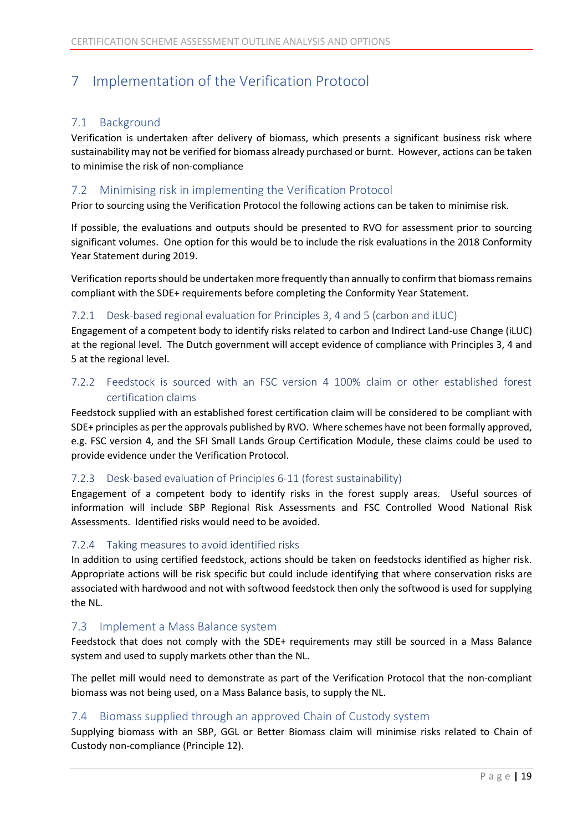# <span id="page-19-0"></span>7 Implementation of the Verification Protocol

#### <span id="page-19-1"></span>7.1 Background

Verification is undertaken after delivery of biomass, which presents a significant business risk where sustainability may not be verified for biomass already purchased or burnt. However, actions can be taken to minimise the risk of non-compliance

#### <span id="page-19-2"></span>7.2 Minimising risk in implementing the Verification Protocol

Prior to sourcing using the Verification Protocol the following actions can be taken to minimise risk.

If possible, the evaluations and outputs should be presented to RVO for assessment prior to sourcing significant volumes. One option for this would be to include the risk evaluations in the 2018 Conformity Year Statement during 2019.

Verification reports should be undertaken more frequently than annually to confirm that biomass remains compliant with the SDE+ requirements before completing the Conformity Year Statement.

#### <span id="page-19-3"></span>7.2.1 Desk-based regional evaluation for Principles 3, 4 and 5 (carbon and iLUC)

Engagement of a competent body to identify risks related to carbon and Indirect Land-use Change (iLUC) at the regional level. The Dutch government will accept evidence of compliance with Principles 3, 4 and 5 at the regional level.

#### <span id="page-19-4"></span>7.2.2 Feedstock is sourced with an FSC version 4 100% claim or other established forest certification claims

Feedstock supplied with an established forest certification claim will be considered to be compliant with SDE+ principles as per the approvals published by RVO. Where schemes have not been formally approved, e.g. FSC version 4, and the SFI Small Lands Group Certification Module, these claims could be used to provide evidence under the Verification Protocol.

#### <span id="page-19-5"></span>7.2.3 Desk-based evaluation of Principles 6-11 (forest sustainability)

Engagement of a competent body to identify risks in the forest supply areas. Useful sources of information will include SBP Regional Risk Assessments and FSC Controlled Wood National Risk Assessments. Identified risks would need to be avoided.

#### <span id="page-19-6"></span>7.2.4 Taking measures to avoid identified risks

In addition to using certified feedstock, actions should be taken on feedstocks identified as higher risk. Appropriate actions will be risk specific but could include identifying that where conservation risks are associated with hardwood and not with softwood feedstock then only the softwood is used for supplying the NL.

#### <span id="page-19-7"></span>7.3 Implement a Mass Balance system

Feedstock that does not comply with the SDE+ requirements may still be sourced in a Mass Balance system and used to supply markets other than the NL.

The pellet mill would need to demonstrate as part of the Verification Protocol that the non-compliant biomass was not being used, on a Mass Balance basis, to supply the NL.

#### <span id="page-19-8"></span>7.4 Biomass supplied through an approved Chain of Custody system

Supplying biomass with an SBP, GGL or Better Biomass claim will minimise risks related to Chain of Custody non-compliance (Principle 12).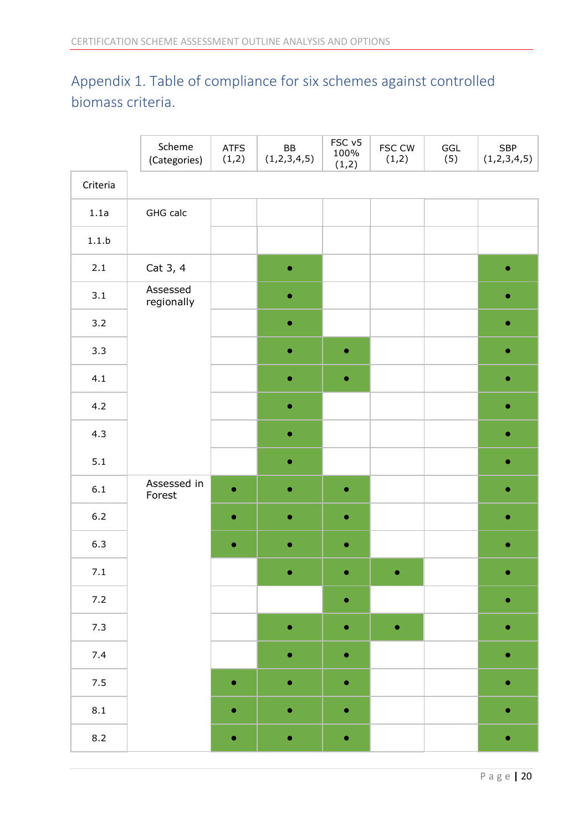# <span id="page-20-0"></span>Appendix 1. Table of compliance for six schemes against controlled biomass criteria.

|                    | Scheme<br>(Categories) | <b>ATFS</b><br>(1,2) | BB<br>(1,2,3,4,5) | FSC v5<br>100%<br>(1,2) | FSC CW<br>(1,2) | GGL<br>(5) | <b>SBP</b><br>(1,2,3,4,5) |
|--------------------|------------------------|----------------------|-------------------|-------------------------|-----------------|------------|---------------------------|
| Criteria           |                        |                      |                   |                         |                 |            |                           |
| 1.1a               | GHG calc               |                      |                   |                         |                 |            |                           |
| 1.1.b              |                        |                      |                   |                         |                 |            |                           |
| $2.1\,$            | Cat 3, 4               |                      | $\bullet$         |                         |                 |            | ۰                         |
| 3.1                | Assessed<br>regionally |                      | $\bullet$         |                         |                 |            |                           |
| 3.2                |                        |                      | $\bullet$         |                         |                 |            | $\bullet$                 |
| 3.3                |                        |                      | $\bullet$         | $\bullet$               |                 |            | ۰                         |
| 4.1                |                        |                      | ۰                 | 0                       |                 |            |                           |
| 4.2                |                        |                      | $\bullet$         |                         |                 |            | ۰                         |
| 4.3                |                        |                      | $\bullet$         |                         |                 |            | ۰                         |
| 5.1                |                        |                      | ۰                 |                         |                 |            |                           |
| $6.1$              | Assessed in<br>Forest  | $\bullet$            | $\bullet$         | $\bullet$               |                 |            | ۰                         |
| $6.2\,$            |                        | $\bullet$            | $\bullet$         | $\bullet$               |                 |            | ۰                         |
| 6.3                |                        | ۰                    | ۰                 | ۰                       |                 |            | ۰                         |
| $7.1\,$            |                        |                      | ۰                 | $\bullet$               | ۰               |            | ۰                         |
| 7.2                |                        |                      |                   | $\bullet$               |                 |            | ۰                         |
| 7.3                |                        |                      | $\bullet$         | ۰                       | $\bullet$       |            | ۰                         |
| $7.4$              |                        |                      | $\bullet$         | $\bullet$               |                 |            | $\bullet$                 |
| 7.5                |                        | $\bullet$            | $\bullet$         | $\bullet$               |                 |            | ۰                         |
| $\boldsymbol{8.1}$ |                        | $\bullet$            | ۰                 | ۰                       |                 |            |                           |
| $8.2$              |                        | ۰                    | $\bullet$         | $\bullet$               |                 |            | $\bullet$                 |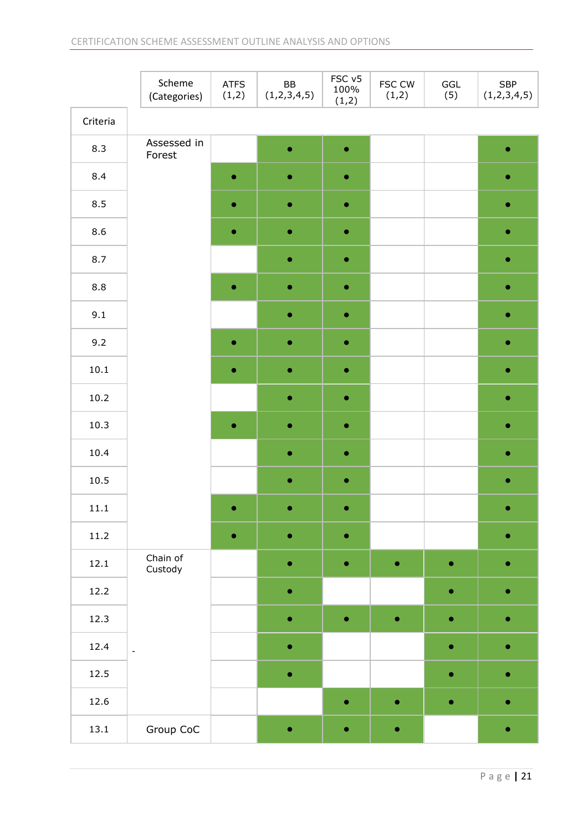|           | Scheme<br>(Categories) | <b>ATFS</b><br>(1,2) | BB<br>(1,2,3,4,5) | FSC v5<br>100%<br>(1,2) | FSC CW<br>(1,2) | GGL<br>(5) | ${\small\textsf{SBP}}$<br>(1,2,3,4,5) |
|-----------|------------------------|----------------------|-------------------|-------------------------|-----------------|------------|---------------------------------------|
| Criteria  |                        |                      |                   |                         |                 |            |                                       |
| 8.3       | Assessed in<br>Forest  |                      | $\bullet$         | $\bullet$               |                 |            | ۰                                     |
| 8.4       |                        | $\bullet$            |                   | 0                       |                 |            | ٥                                     |
| 8.5       |                        | $\bullet$            | $\bullet$         | $\bullet$               |                 |            | $\bullet$                             |
| 8.6       |                        | $\bullet$            | ٠                 | $\bullet$               |                 |            | o                                     |
| 8.7       |                        |                      |                   | ٥                       |                 |            | ۰                                     |
| $\bf 8.8$ |                        | $\bullet$            | $\bullet$         | $\bullet$               |                 |            | $\bullet$                             |
| 9.1       |                        |                      | $\bullet$         | $\bullet$               |                 |            | ۰                                     |
| 9.2       |                        | $\bullet$            |                   | ٥                       |                 |            | ۰                                     |
| 10.1      |                        | $\bullet$            | $\bullet$         | $\bullet$               |                 |            | $\bullet$                             |
| $10.2\,$  |                        |                      | $\bullet$         | $\bullet$               |                 |            | o                                     |
| 10.3      |                        | $\bullet$            |                   | 0                       |                 |            | ۰                                     |
| 10.4      |                        |                      | $\bullet$         | $\bullet$               |                 |            | $\bullet$                             |
| 10.5      |                        |                      | ۰                 | $\bullet$               |                 |            | 0                                     |
| 11.1      |                        | $\bullet$            |                   | 0                       |                 |            | ۰                                     |
| 11.2      |                        | $\bullet$            | $\bullet$         | $\bullet$               |                 |            | ۰                                     |
| 12.1      | Chain of<br>Custody    |                      | ۰                 | ۰                       | $\bullet$       | ۰          |                                       |
| 12.2      |                        |                      | $\bullet$         |                         |                 | $\bullet$  | ۰                                     |
| 12.3      |                        |                      | $\bullet$         | $\bullet$               | $\bullet$       | $\bullet$  | 0                                     |
| 12.4      | $\Box$                 |                      | $\bullet$         |                         |                 | $\bullet$  |                                       |
| 12.5      |                        |                      |                   |                         |                 | $\bullet$  | ۰                                     |
| 12.6      |                        |                      |                   | $\bullet$               | $\bullet$       | $\bullet$  | 0                                     |
| 13.1      | Group CoC              |                      | $\bullet$         | ٠                       | $\bullet$       |            |                                       |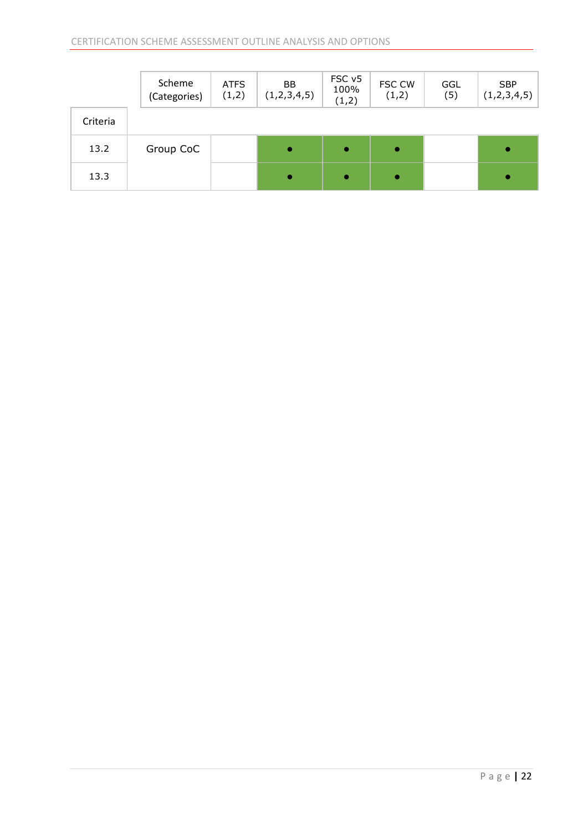|          | Scheme<br>(Categories) | <b>ATFS</b><br>(1,2) | <b>BB</b><br>(1,2,3,4,5) | FSC <sub>v5</sub><br>100%<br>(1,2) | <b>FSC CW</b><br>(1,2) | GGL<br>(5) | <b>SBP</b><br>(1,2,3,4,5) |
|----------|------------------------|----------------------|--------------------------|------------------------------------|------------------------|------------|---------------------------|
| Criteria |                        |                      |                          |                                    |                        |            |                           |
| 13.2     | Group CoC              |                      | $\bullet$                | ۰                                  | $\bullet$              |            | $\bullet$                 |
| 13.3     |                        |                      | $\bullet$                |                                    | $\bullet$              |            | $\bullet$                 |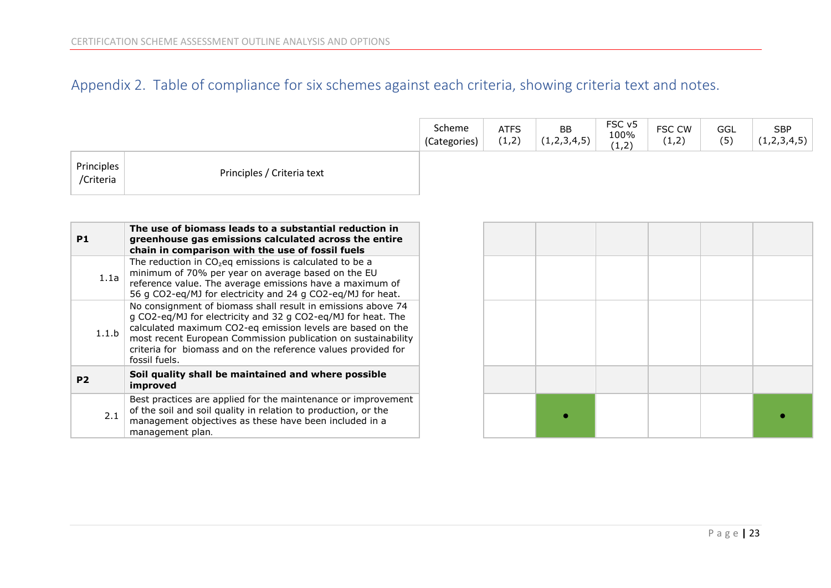# Appendix 2. Table of compliance for six schemes against each criteria, showing criteria text and notes.

|                         |                            | Scheme<br>(Categories) | <b>ATFS</b><br>(1,2) | BB<br>(1,2,3,4,5) | FSC v5<br>100%<br>(1,2) | FSC CW<br>(1,2) | GGL<br>(5) | <b>SBP</b><br>(1,2,3,4,5) |
|-------------------------|----------------------------|------------------------|----------------------|-------------------|-------------------------|-----------------|------------|---------------------------|
| Principles<br>/Criteria | Principles / Criteria text |                        |                      |                   |                         |                 |            |                           |

<span id="page-23-0"></span>

| P1             | The use of biomass leads to a substantial reduction in<br>greenhouse gas emissions calculated across the entire<br>chain in comparison with the use of fossil fuels                                                                                                                                                                           |
|----------------|-----------------------------------------------------------------------------------------------------------------------------------------------------------------------------------------------------------------------------------------------------------------------------------------------------------------------------------------------|
| 1.1a           | The reduction in $CO2$ eq emissions is calculated to be a<br>minimum of 70% per year on average based on the EU<br>reference value. The average emissions have a maximum of<br>56 g CO2-eq/MJ for electricity and 24 g CO2-eq/MJ for heat.                                                                                                    |
| 1.1.b          | No consignment of biomass shall result in emissions above 74<br>g CO2-eg/MJ for electricity and 32 g CO2-eg/MJ for heat. The<br>calculated maximum CO2-eq emission levels are based on the<br>most recent European Commission publication on sustainability<br>criteria for biomass and on the reference values provided for<br>fossil fuels. |
| P <sub>2</sub> | Soil quality shall be maintained and where possible<br>improved                                                                                                                                                                                                                                                                               |
| 2.1            | Best practices are applied for the maintenance or improvement<br>of the soil and soil quality in relation to production, or the<br>management objectives as these have been included in a<br>management plan.                                                                                                                                 |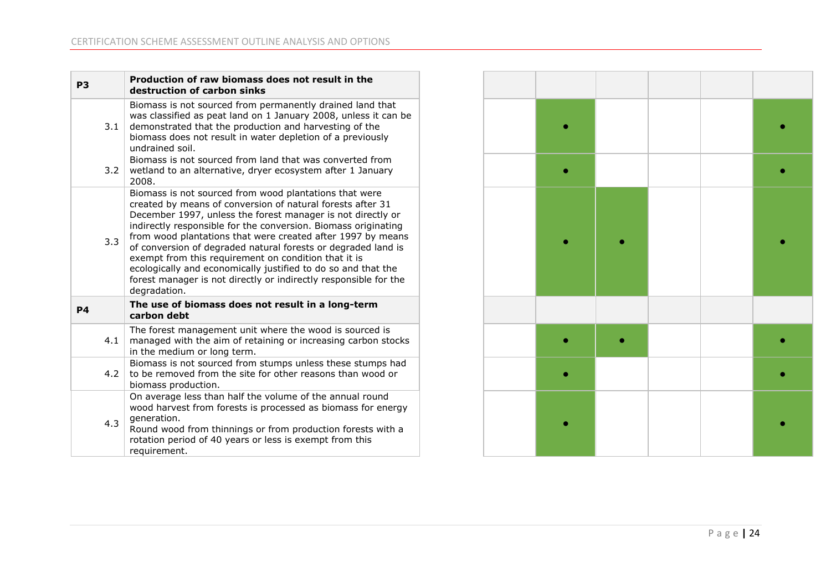| P <sub>3</sub>                                                                                                                                                                                                                                                                                                                                                                                                                                                                                                                                                                                            | Production of raw biomass does not result in the<br>destruction of carbon sinks                                                                                                                                                                                                   |
|-----------------------------------------------------------------------------------------------------------------------------------------------------------------------------------------------------------------------------------------------------------------------------------------------------------------------------------------------------------------------------------------------------------------------------------------------------------------------------------------------------------------------------------------------------------------------------------------------------------|-----------------------------------------------------------------------------------------------------------------------------------------------------------------------------------------------------------------------------------------------------------------------------------|
| 3.1                                                                                                                                                                                                                                                                                                                                                                                                                                                                                                                                                                                                       | Biomass is not sourced from permanently drained land that<br>was classified as peat land on 1 January 2008, unless it can be<br>demonstrated that the production and harvesting of the<br>biomass does not result in water depletion of a previously<br>undrained soil.           |
| 3.2                                                                                                                                                                                                                                                                                                                                                                                                                                                                                                                                                                                                       | Biomass is not sourced from land that was converted from<br>wetland to an alternative, dryer ecosystem after 1 January<br>2008.                                                                                                                                                   |
| Biomass is not sourced from wood plantations that were<br>created by means of conversion of natural forests after 31<br>December 1997, unless the forest manager is not directly or<br>indirectly responsible for the conversion. Biomass originating<br>from wood plantations that were created after 1997 by means<br>3.3<br>of conversion of degraded natural forests or degraded land is<br>exempt from this requirement on condition that it is<br>ecologically and economically justified to do so and that the<br>forest manager is not directly or indirectly responsible for the<br>degradation. |                                                                                                                                                                                                                                                                                   |
| <b>P4</b>                                                                                                                                                                                                                                                                                                                                                                                                                                                                                                                                                                                                 | The use of biomass does not result in a long-term<br>carbon debt                                                                                                                                                                                                                  |
| 4.1                                                                                                                                                                                                                                                                                                                                                                                                                                                                                                                                                                                                       | The forest management unit where the wood is sourced is<br>managed with the aim of retaining or increasing carbon stocks<br>in the medium or long term.                                                                                                                           |
| 4.2                                                                                                                                                                                                                                                                                                                                                                                                                                                                                                                                                                                                       | Biomass is not sourced from stumps unless these stumps had<br>to be removed from the site for other reasons than wood or<br>biomass production.                                                                                                                                   |
| 4.3                                                                                                                                                                                                                                                                                                                                                                                                                                                                                                                                                                                                       | On average less than half the volume of the annual round<br>wood harvest from forests is processed as biomass for energy<br>generation.<br>Round wood from thinnings or from production forests with a<br>rotation period of 40 years or less is exempt from this<br>requirement. |

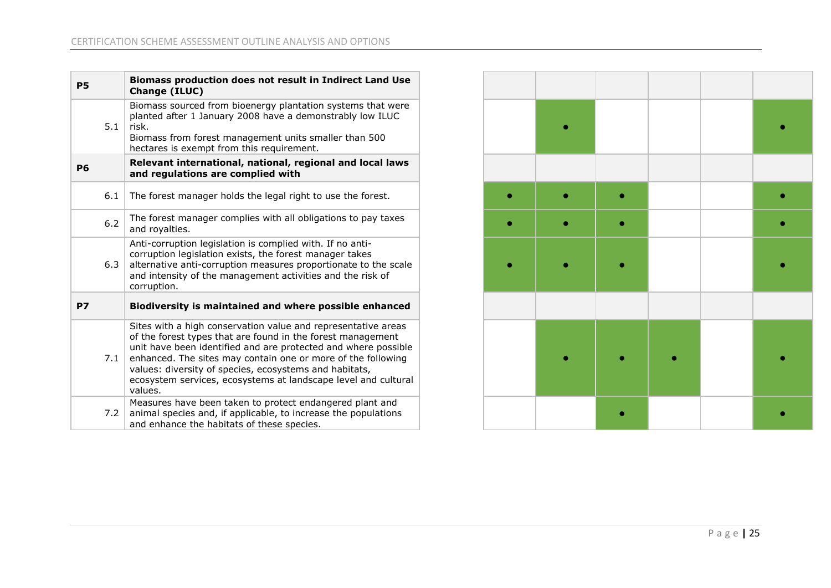| <b>P5</b> | Biomass production does not result in Indirect Land Use<br>Change (ILUC)                                                                                                                                                                                                                                                                                                                              |
|-----------|-------------------------------------------------------------------------------------------------------------------------------------------------------------------------------------------------------------------------------------------------------------------------------------------------------------------------------------------------------------------------------------------------------|
| 5.1       | Biomass sourced from bioenergy plantation systems that were<br>planted after 1 January 2008 have a demonstrably low ILUC<br>risk.<br>Biomass from forest management units smaller than 500<br>hectares is exempt from this requirement.                                                                                                                                                               |
| <b>P6</b> | Relevant international, national, regional and local laws<br>and regulations are complied with                                                                                                                                                                                                                                                                                                        |
| 6.1       | The forest manager holds the legal right to use the forest.                                                                                                                                                                                                                                                                                                                                           |
| 6.2       | The forest manager complies with all obligations to pay taxes<br>and royalties.                                                                                                                                                                                                                                                                                                                       |
| 6.3       | Anti-corruption legislation is complied with. If no anti-<br>corruption legislation exists, the forest manager takes<br>alternative anti-corruption measures proportionate to the scale<br>and intensity of the management activities and the risk of<br>corruption.                                                                                                                                  |
| <b>P7</b> | Biodiversity is maintained and where possible enhanced                                                                                                                                                                                                                                                                                                                                                |
| 7.1       | Sites with a high conservation value and representative areas<br>of the forest types that are found in the forest management<br>unit have been identified and are protected and where possible<br>enhanced. The sites may contain one or more of the following<br>values: diversity of species, ecosystems and habitats,<br>ecosystem services, ecosystems at landscape level and cultural<br>values. |
| 7.2       | Measures have been taken to protect endangered plant and<br>animal species and, if applicable, to increase the populations<br>and enhance the habitats of these species.                                                                                                                                                                                                                              |

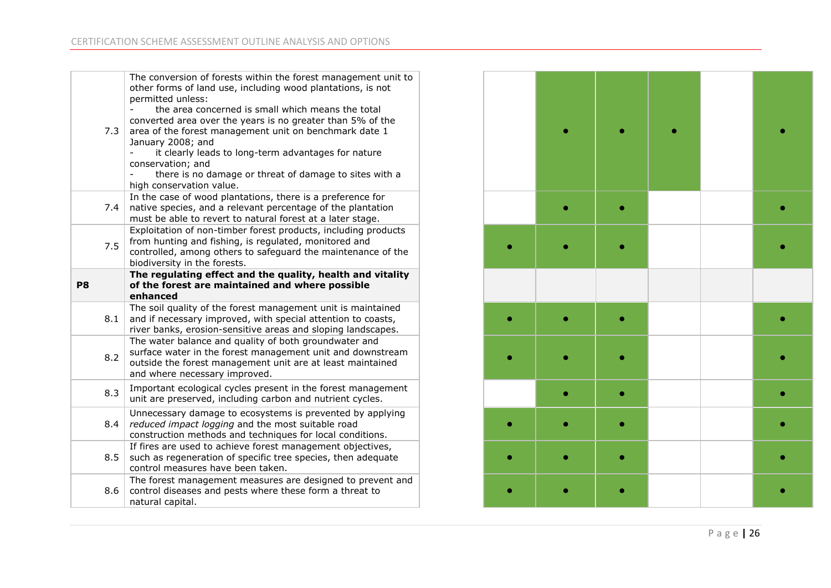| 7.3 | The conversion of forests within the forest management unit to<br>other forms of land use, including wood plantations, is not<br>permitted unless:<br>the area concerned is small which means the total<br>converted area over the years is no greater than 5% of the<br>area of the forest management unit on benchmark date 1<br>January 2008; and<br>it clearly leads to long-term advantages for nature<br>conservation; and<br>there is no damage or threat of damage to sites with a<br>high conservation value. |
|-----|------------------------------------------------------------------------------------------------------------------------------------------------------------------------------------------------------------------------------------------------------------------------------------------------------------------------------------------------------------------------------------------------------------------------------------------------------------------------------------------------------------------------|
| 7.4 | In the case of wood plantations, there is a preference for<br>native species, and a relevant percentage of the plantation<br>must be able to revert to natural forest at a later stage.                                                                                                                                                                                                                                                                                                                                |
| 7.5 | Exploitation of non-timber forest products, including products<br>from hunting and fishing, is regulated, monitored and<br>controlled, among others to safeguard the maintenance of the<br>biodiversity in the forests.                                                                                                                                                                                                                                                                                                |
| P8  | The regulating effect and the quality, health and vitality<br>of the forest are maintained and where possible<br>enhanced                                                                                                                                                                                                                                                                                                                                                                                              |
| 8.1 | The soil quality of the forest management unit is maintained<br>and if necessary improved, with special attention to coasts,<br>river banks, erosion-sensitive areas and sloping landscapes.                                                                                                                                                                                                                                                                                                                           |
| 8.2 | The water balance and quality of both groundwater and<br>surface water in the forest management unit and downstream<br>outside the forest management unit are at least maintained<br>and where necessary improved.                                                                                                                                                                                                                                                                                                     |
| 8.3 | Important ecological cycles present in the forest management<br>unit are preserved, including carbon and nutrient cycles.                                                                                                                                                                                                                                                                                                                                                                                              |
| 8.4 | Unnecessary damage to ecosystems is prevented by applying<br>reduced impact logging and the most suitable road<br>construction methods and techniques for local conditions.                                                                                                                                                                                                                                                                                                                                            |
| 8.5 | If fires are used to achieve forest management objectives,<br>such as regeneration of specific tree species, then adequate<br>control measures have been taken.                                                                                                                                                                                                                                                                                                                                                        |
| 8.6 | The forest management measures are designed to prevent and<br>control diseases and pests where these form a threat to                                                                                                                                                                                                                                                                                                                                                                                                  |

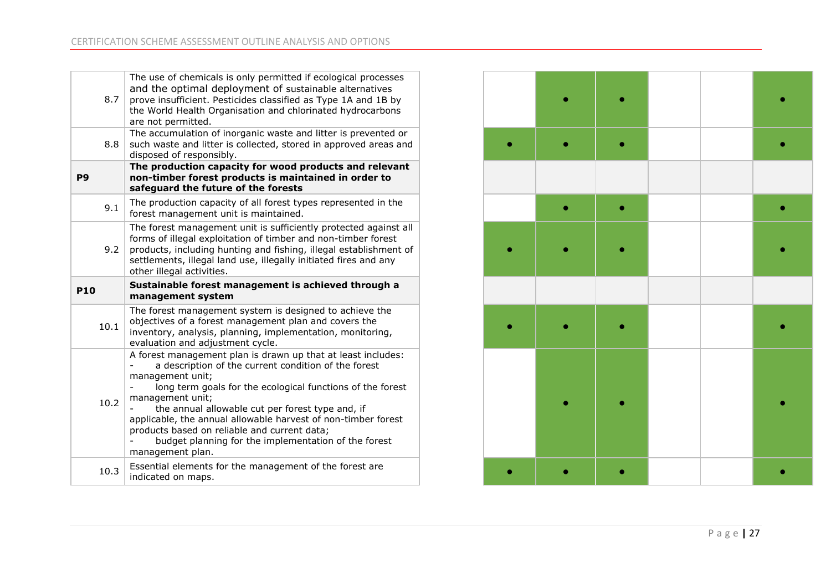| 8.7        | The use of chemicals is only permitted if ecological processes<br>and the optimal deployment of sustainable alternatives<br>prove insufficient. Pesticides classified as Type 1A and 1B by<br>the World Health Organisation and chlorinated hydrocarbons<br>are not permitted.                                                                                                                                                                                              |  |  |
|------------|-----------------------------------------------------------------------------------------------------------------------------------------------------------------------------------------------------------------------------------------------------------------------------------------------------------------------------------------------------------------------------------------------------------------------------------------------------------------------------|--|--|
| 8.8        | The accumulation of inorganic waste and litter is prevented or<br>such waste and litter is collected, stored in approved areas and<br>disposed of responsibly.                                                                                                                                                                                                                                                                                                              |  |  |
| <b>P9</b>  | The production capacity for wood products and relevant<br>non-timber forest products is maintained in order to<br>safeguard the future of the forests                                                                                                                                                                                                                                                                                                                       |  |  |
| 9.1        | The production capacity of all forest types represented in the<br>forest management unit is maintained.                                                                                                                                                                                                                                                                                                                                                                     |  |  |
| 9.2        | The forest management unit is sufficiently protected against all<br>forms of illegal exploitation of timber and non-timber forest<br>products, including hunting and fishing, illegal establishment of<br>settlements, illegal land use, illegally initiated fires and any<br>other illegal activities.                                                                                                                                                                     |  |  |
|            |                                                                                                                                                                                                                                                                                                                                                                                                                                                                             |  |  |
| <b>P10</b> | Sustainable forest management is achieved through a<br>management system                                                                                                                                                                                                                                                                                                                                                                                                    |  |  |
| 10.1       | The forest management system is designed to achieve the<br>objectives of a forest management plan and covers the<br>inventory, analysis, planning, implementation, monitoring,<br>evaluation and adjustment cycle.                                                                                                                                                                                                                                                          |  |  |
| 10.2       | A forest management plan is drawn up that at least includes:<br>a description of the current condition of the forest<br>management unit;<br>long term goals for the ecological functions of the forest<br>management unit;<br>the annual allowable cut per forest type and, if<br>applicable, the annual allowable harvest of non-timber forest<br>products based on reliable and current data;<br>budget planning for the implementation of the forest<br>management plan. |  |  |

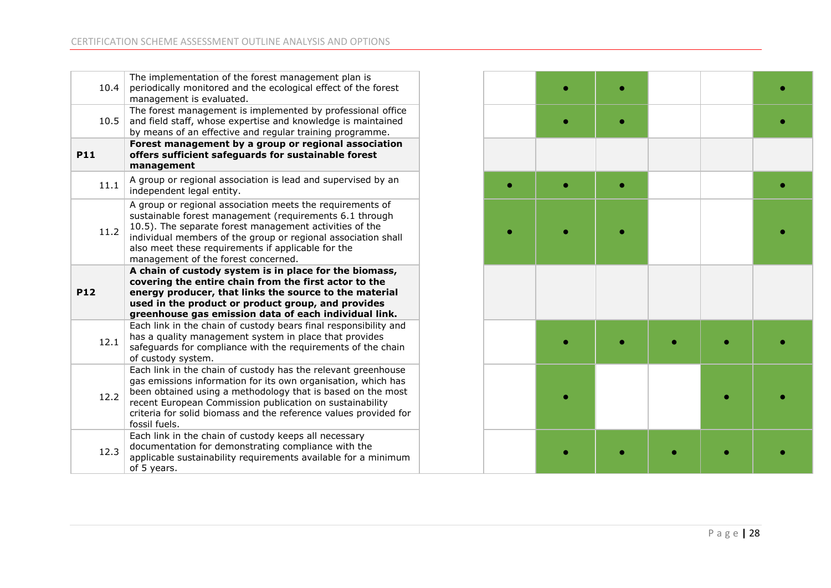| 10.4                                                   | The implementation of the forest management plan is<br>periodically monitored and the ecological effect of the forest<br>management is evaluated.                                                                                                                                                                                              |  |  |  |
|--------------------------------------------------------|------------------------------------------------------------------------------------------------------------------------------------------------------------------------------------------------------------------------------------------------------------------------------------------------------------------------------------------------|--|--|--|
| 10.5                                                   | The forest management is implemented by professional office<br>and field staff, whose expertise and knowledge is maintained<br>by means of an effective and regular training programme.                                                                                                                                                        |  |  |  |
| <b>P11</b>                                             | Forest management by a group or regional association<br>offers sufficient safeguards for sustainable forest<br>management                                                                                                                                                                                                                      |  |  |  |
| 11.1                                                   | A group or regional association is lead and supervised by an<br>independent legal entity.                                                                                                                                                                                                                                                      |  |  |  |
| 11.2                                                   | A group or regional association meets the requirements of<br>sustainable forest management (requirements 6.1 through<br>10.5). The separate forest management activities of the<br>individual members of the group or regional association shall<br>also meet these requirements if applicable for the<br>management of the forest concerned.  |  |  |  |
| A chain of custody system is in place for the biomass, |                                                                                                                                                                                                                                                                                                                                                |  |  |  |
| <b>P12</b>                                             | covering the entire chain from the first actor to the<br>energy producer, that links the source to the material<br>used in the product or product group, and provides<br>greenhouse gas emission data of each individual link.                                                                                                                 |  |  |  |
| 12.1                                                   | Each link in the chain of custody bears final responsibility and<br>has a quality management system in place that provides<br>safeguards for compliance with the requirements of the chain<br>of custody system.                                                                                                                               |  |  |  |
| 12.2                                                   | Each link in the chain of custody has the relevant greenhouse<br>gas emissions information for its own organisation, which has<br>been obtained using a methodology that is based on the most<br>recent European Commission publication on sustainability<br>criteria for solid biomass and the reference values provided for<br>fossil fuels. |  |  |  |
| 12.3                                                   | Each link in the chain of custody keeps all necessary<br>documentation for demonstrating compliance with the<br>applicable sustainability requirements available for a minimum<br>of 5 years.                                                                                                                                                  |  |  |  |

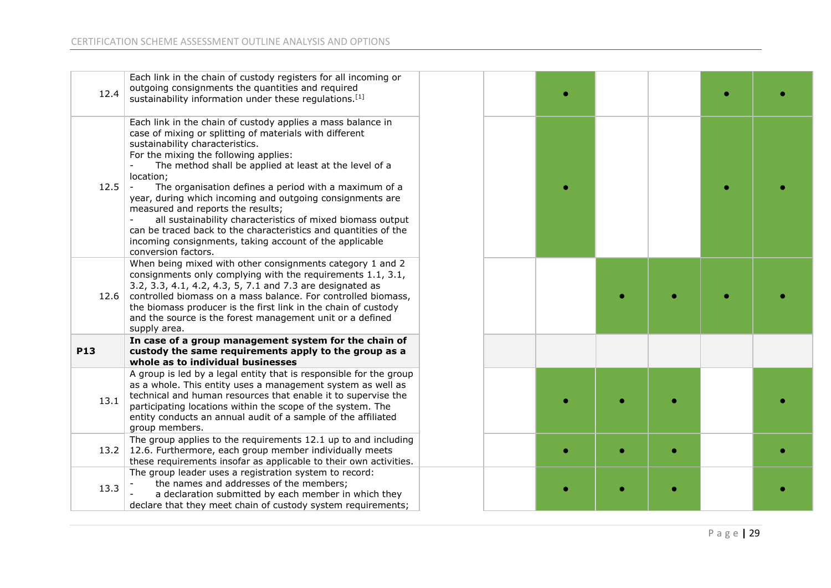| 12.4       | Each link in the chain of custody registers for all incoming or<br>outgoing consignments the quantities and required<br>sustainability information under these regulations. <sup>[1]</sup>                                                                                                                                                                                                                                                                                                                                                                                                                                                              |
|------------|---------------------------------------------------------------------------------------------------------------------------------------------------------------------------------------------------------------------------------------------------------------------------------------------------------------------------------------------------------------------------------------------------------------------------------------------------------------------------------------------------------------------------------------------------------------------------------------------------------------------------------------------------------|
| 12.5       | Each link in the chain of custody applies a mass balance in<br>case of mixing or splitting of materials with different<br>sustainability characteristics.<br>For the mixing the following applies:<br>The method shall be applied at least at the level of a<br>location;<br>The organisation defines a period with a maximum of a<br>year, during which incoming and outgoing consignments are<br>measured and reports the results;<br>all sustainability characteristics of mixed biomass output<br>can be traced back to the characteristics and quantities of the<br>incoming consignments, taking account of the applicable<br>conversion factors. |
| 12.6       | When being mixed with other consignments category 1 and 2<br>consignments only complying with the requirements 1.1, 3.1,<br>3.2, 3.3, 4.1, 4.2, 4.3, 5, 7.1 and 7.3 are designated as<br>controlled biomass on a mass balance. For controlled biomass,<br>the biomass producer is the first link in the chain of custody<br>and the source is the forest management unit or a defined<br>supply area.                                                                                                                                                                                                                                                   |
| <b>P13</b> | In case of a group management system for the chain of<br>custody the same requirements apply to the group as a<br>whole as to individual businesses                                                                                                                                                                                                                                                                                                                                                                                                                                                                                                     |
| 13.1       | A group is led by a legal entity that is responsible for the group<br>as a whole. This entity uses a management system as well as<br>technical and human resources that enable it to supervise the<br>participating locations within the scope of the system. The<br>entity conducts an annual audit of a sample of the affiliated<br>group members.                                                                                                                                                                                                                                                                                                    |
|            | The group applies to the requirements 12.1 up to and including<br>13.2 12.6. Furthermore, each group member individually meets<br>these requirements insofar as applicable to their own activities.                                                                                                                                                                                                                                                                                                                                                                                                                                                     |
| 13.3       | The group leader uses a registration system to record:<br>the names and addresses of the members;<br>a declaration submitted by each member in which they<br>declare that they meet chain of custody system requirements;                                                                                                                                                                                                                                                                                                                                                                                                                               |